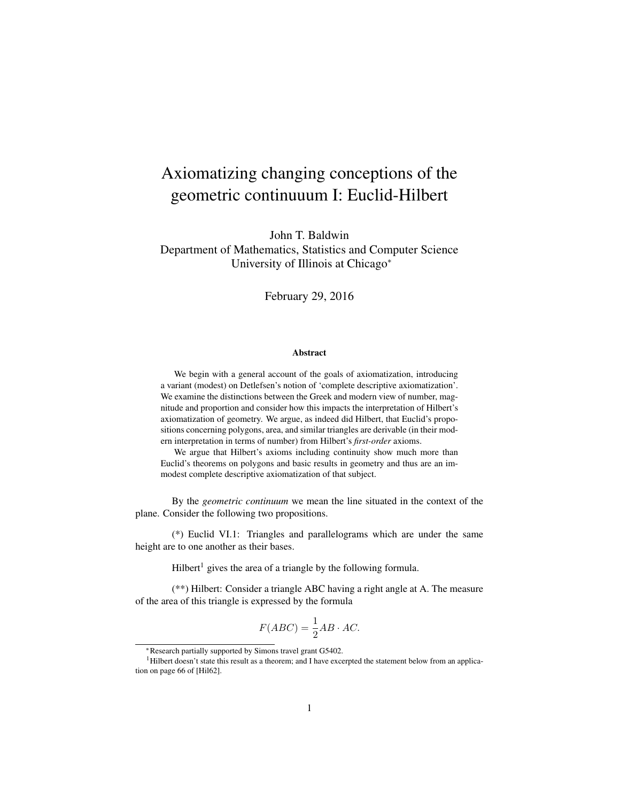# Axiomatizing changing conceptions of the geometric continuuum I: Euclid-Hilbert

John T. Baldwin Department of Mathematics, Statistics and Computer Science University of Illinois at Chicago<sup>∗</sup>

February 29, 2016

#### Abstract

We begin with a general account of the goals of axiomatization, introducing a variant (modest) on Detlefsen's notion of 'complete descriptive axiomatization'. We examine the distinctions between the Greek and modern view of number, magnitude and proportion and consider how this impacts the interpretation of Hilbert's axiomatization of geometry. We argue, as indeed did Hilbert, that Euclid's propositions concerning polygons, area, and similar triangles are derivable (in their modern interpretation in terms of number) from Hilbert's *first-order* axioms.

We argue that Hilbert's axioms including continuity show much more than Euclid's theorems on polygons and basic results in geometry and thus are an immodest complete descriptive axiomatization of that subject.

By the *geometric continuum* we mean the line situated in the context of the plane. Consider the following two propositions.

(\*) Euclid VI.1: Triangles and parallelograms which are under the same height are to one another as their bases.

 $Hilbert<sup>1</sup>$  gives the area of a triangle by the following formula.

(\*\*) Hilbert: Consider a triangle ABC having a right angle at A. The measure of the area of this triangle is expressed by the formula

$$
F(ABC) = \frac{1}{2}AB \cdot AC.
$$

<sup>∗</sup>Research partially supported by Simons travel grant G5402.

<sup>&</sup>lt;sup>1</sup>Hilbert doesn't state this result as a theorem; and I have excerpted the statement below from an application on page 66 of [Hil62].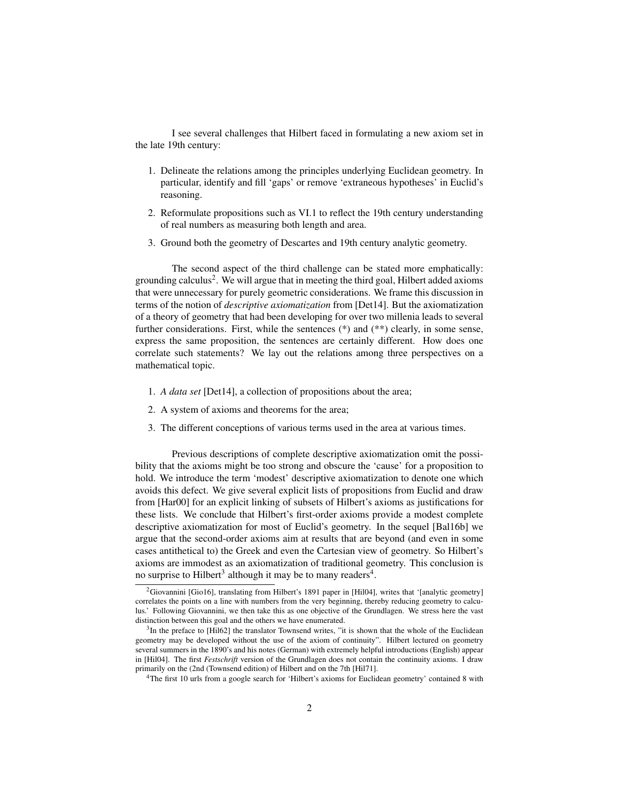I see several challenges that Hilbert faced in formulating a new axiom set in the late 19th century:

- 1. Delineate the relations among the principles underlying Euclidean geometry. In particular, identify and fill 'gaps' or remove 'extraneous hypotheses' in Euclid's reasoning.
- 2. Reformulate propositions such as VI.1 to reflect the 19th century understanding of real numbers as measuring both length and area.
- 3. Ground both the geometry of Descartes and 19th century analytic geometry.

The second aspect of the third challenge can be stated more emphatically: grounding calculus<sup>2</sup>. We will argue that in meeting the third goal, Hilbert added axioms that were unnecessary for purely geometric considerations. We frame this discussion in terms of the notion of *descriptive axiomatization* from [Det14]. But the axiomatization of a theory of geometry that had been developing for over two millenia leads to several further considerations. First, while the sentences (\*) and (\*\*) clearly, in some sense, express the same proposition, the sentences are certainly different. How does one correlate such statements? We lay out the relations among three perspectives on a mathematical topic.

- 1. *A data set* [Det14], a collection of propositions about the area;
- 2. A system of axioms and theorems for the area;
- 3. The different conceptions of various terms used in the area at various times.

Previous descriptions of complete descriptive axiomatization omit the possibility that the axioms might be too strong and obscure the 'cause' for a proposition to hold. We introduce the term 'modest' descriptive axiomatization to denote one which avoids this defect. We give several explicit lists of propositions from Euclid and draw from [Har00] for an explicit linking of subsets of Hilbert's axioms as justifications for these lists. We conclude that Hilbert's first-order axioms provide a modest complete descriptive axiomatization for most of Euclid's geometry. In the sequel [Bal16b] we argue that the second-order axioms aim at results that are beyond (and even in some cases antithetical to) the Greek and even the Cartesian view of geometry. So Hilbert's axioms are immodest as an axiomatization of traditional geometry. This conclusion is no surprise to Hilbert<sup>3</sup> although it may be to many readers<sup>4</sup>.

<sup>&</sup>lt;sup>2</sup>Giovannini [Gio16], translating from Hilbert's 1891 paper in [Hil04], writes that '[analytic geometry] correlates the points on a line with numbers from the very beginning, thereby reducing geometry to calculus.' Following Giovannini, we then take this as one objective of the Grundlagen. We stress here the vast distinction between this goal and the others we have enumerated.

 $3$ In the preface to [Hil62] the translator Townsend writes, "it is shown that the whole of the Euclidean geometry may be developed without the use of the axiom of continuity". Hilbert lectured on geometry several summers in the 1890's and his notes (German) with extremely helpful introductions (English) appear in [Hil04]. The first *Festschrift* version of the Grundlagen does not contain the continuity axioms. I draw primarily on the (2nd (Townsend edition) of Hilbert and on the 7th [Hil71].

<sup>4</sup>The first 10 urls from a google search for 'Hilbert's axioms for Euclidean geometry' contained 8 with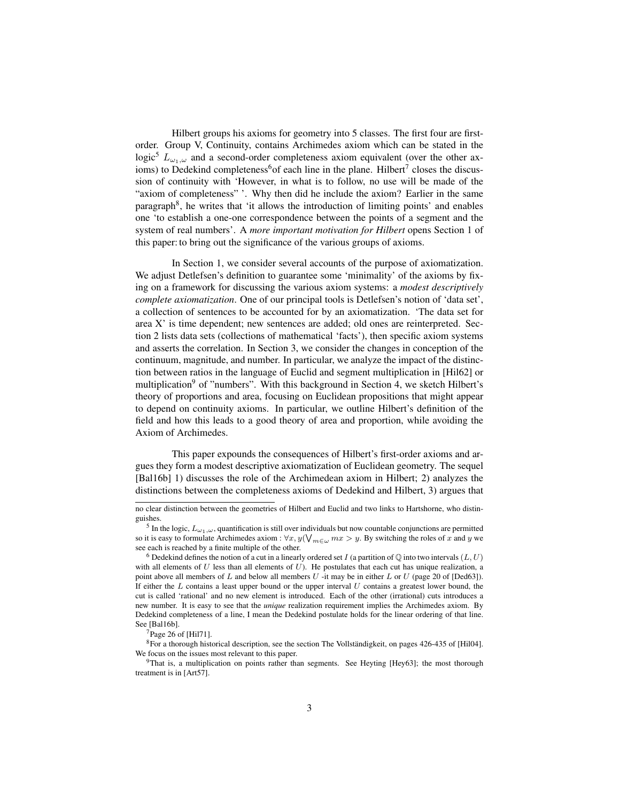Hilbert groups his axioms for geometry into 5 classes. The first four are firstorder. Group V, Continuity, contains Archimedes axiom which can be stated in the logic<sup>5</sup>  $L_{\omega_1,\omega}$  and a second-order completeness axiom equivalent (over the other axioms) to Dedekind completeness<sup>6</sup> of each line in the plane. Hilbert<sup>7</sup> closes the discussion of continuity with 'However, in what is to follow, no use will be made of the "axiom of completeness" '. Why then did he include the axiom? Earlier in the same paragraph<sup>8</sup>, he writes that 'it allows the introduction of limiting points' and enables one 'to establish a one-one correspondence between the points of a segment and the system of real numbers'. A *more important motivation for Hilbert* opens Section 1 of this paper: to bring out the significance of the various groups of axioms.

In Section 1, we consider several accounts of the purpose of axiomatization. We adjust Detlefsen's definition to guarantee some 'minimality' of the axioms by fixing on a framework for discussing the various axiom systems: a *modest descriptively complete axiomatization*. One of our principal tools is Detlefsen's notion of 'data set', a collection of sentences to be accounted for by an axiomatization. 'The data set for area X' is time dependent; new sentences are added; old ones are reinterpreted. Section 2 lists data sets (collections of mathematical 'facts'), then specific axiom systems and asserts the correlation. In Section 3, we consider the changes in conception of the continuum, magnitude, and number. In particular, we analyze the impact of the distinction between ratios in the language of Euclid and segment multiplication in [Hil62] or multiplication<sup>9</sup> of "numbers". With this background in Section 4, we sketch Hilbert's theory of proportions and area, focusing on Euclidean propositions that might appear to depend on continuity axioms. In particular, we outline Hilbert's definition of the field and how this leads to a good theory of area and proportion, while avoiding the Axiom of Archimedes.

This paper expounds the consequences of Hilbert's first-order axioms and argues they form a modest descriptive axiomatization of Euclidean geometry. The sequel [Bal16b] 1) discusses the role of the Archimedean axiom in Hilbert; 2) analyzes the distinctions between the completeness axioms of Dedekind and Hilbert, 3) argues that

no clear distinction between the geometries of Hilbert and Euclid and two links to Hartshorne, who distinguishes.

<sup>&</sup>lt;sup>5</sup> In the logic,  $L_{\omega_1,\omega}$ , quantification is still over individuals but now countable conjunctions are permitted so it is easy to formulate Archimedes axiom :  $\forall x, y(\bigvee_{m\in\omega}mx>y)$ . By switching the roles of x and y we see each is reached by a finite multiple of the other.

<sup>&</sup>lt;sup>6</sup> Dedekind defines the notion of a cut in a linearly ordered set I (a partition of  $\mathbb Q$  into two intervals  $(L, U)$ with all elements of  $U$  less than all elements of  $U$ ). He postulates that each cut has unique realization, a point above all members of L and below all members U -it may be in either L or U (page 20 of [Ded63]). If either the  $L$  contains a least upper bound or the upper interval  $U$  contains a greatest lower bound, the cut is called 'rational' and no new element is introduced. Each of the other (irrational) cuts introduces a new number. It is easy to see that the *unique* realization requirement implies the Archimedes axiom. By Dedekind completeness of a line, I mean the Dedekind postulate holds for the linear ordering of that line. See [Bal16b].

<sup>7</sup>Page 26 of [Hil71].

 ${}^{8}$ For a thorough historical description, see the section The Vollständigkeit, on pages 426-435 of [Hil04]. We focus on the issues most relevant to this paper.

<sup>9</sup>That is, a multiplication on points rather than segments. See Heyting [Hey63]; the most thorough treatment is in [Art57].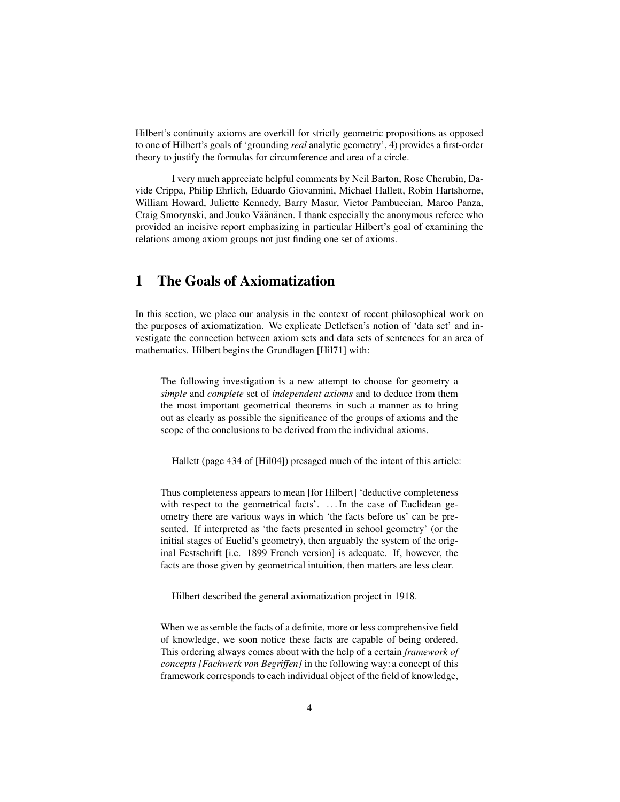Hilbert's continuity axioms are overkill for strictly geometric propositions as opposed to one of Hilbert's goals of 'grounding *real* analytic geometry', 4) provides a first-order theory to justify the formulas for circumference and area of a circle.

I very much appreciate helpful comments by Neil Barton, Rose Cherubin, Davide Crippa, Philip Ehrlich, Eduardo Giovannini, Michael Hallett, Robin Hartshorne, William Howard, Juliette Kennedy, Barry Masur, Victor Pambuccian, Marco Panza, Craig Smorynski, and Jouko Väänänen. I thank especially the anonymous referee who provided an incisive report emphasizing in particular Hilbert's goal of examining the relations among axiom groups not just finding one set of axioms.

# 1 The Goals of Axiomatization

In this section, we place our analysis in the context of recent philosophical work on the purposes of axiomatization. We explicate Detlefsen's notion of 'data set' and investigate the connection between axiom sets and data sets of sentences for an area of mathematics. Hilbert begins the Grundlagen [Hil71] with:

The following investigation is a new attempt to choose for geometry a *simple* and *complete* set of *independent axioms* and to deduce from them the most important geometrical theorems in such a manner as to bring out as clearly as possible the significance of the groups of axioms and the scope of the conclusions to be derived from the individual axioms.

Hallett (page 434 of [Hil04]) presaged much of the intent of this article:

Thus completeness appears to mean [for Hilbert] 'deductive completeness with respect to the geometrical facts'. ... In the case of Euclidean geometry there are various ways in which 'the facts before us' can be presented. If interpreted as 'the facts presented in school geometry' (or the initial stages of Euclid's geometry), then arguably the system of the original Festschrift [i.e. 1899 French version] is adequate. If, however, the facts are those given by geometrical intuition, then matters are less clear.

Hilbert described the general axiomatization project in 1918.

When we assemble the facts of a definite, more or less comprehensive field of knowledge, we soon notice these facts are capable of being ordered. This ordering always comes about with the help of a certain *framework of concepts [Fachwerk von Begriffen]* in the following way: a concept of this framework corresponds to each individual object of the field of knowledge,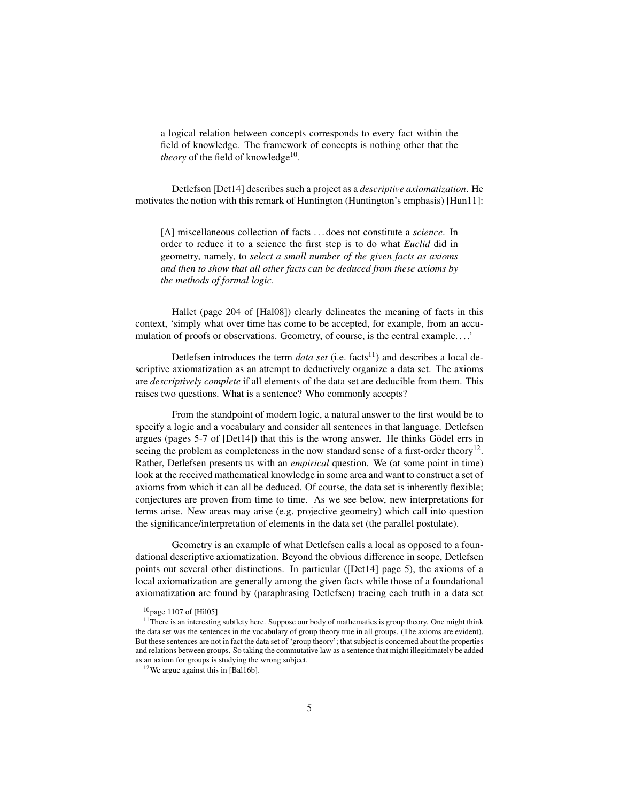a logical relation between concepts corresponds to every fact within the field of knowledge. The framework of concepts is nothing other that the theory of the field of knowledge<sup>10</sup>.

Detlefson [Det14] describes such a project as a *descriptive axiomatization*. He motivates the notion with this remark of Huntington (Huntington's emphasis) [Hun11]:

[A] miscellaneous collection of facts . . . does not constitute a *science*. In order to reduce it to a science the first step is to do what *Euclid* did in geometry, namely, to *select a small number of the given facts as axioms and then to show that all other facts can be deduced from these axioms by the methods of formal logic*.

Hallet (page 204 of [Hal08]) clearly delineates the meaning of facts in this context, 'simply what over time has come to be accepted, for example, from an accumulation of proofs or observations. Geometry, of course, is the central example. . . .'

Detlefsen introduces the term *data set* (i.e. facts<sup>11</sup>) and describes a local descriptive axiomatization as an attempt to deductively organize a data set. The axioms are *descriptively complete* if all elements of the data set are deducible from them. This raises two questions. What is a sentence? Who commonly accepts?

From the standpoint of modern logic, a natural answer to the first would be to specify a logic and a vocabulary and consider all sentences in that language. Detlefsen argues (pages  $5-7$  of  $[Det14]$ ) that this is the wrong answer. He thinks Gödel errs in seeing the problem as completeness in the now standard sense of a first-order theory $12$ . Rather, Detlefsen presents us with an *empirical* question. We (at some point in time) look at the received mathematical knowledge in some area and want to construct a set of axioms from which it can all be deduced. Of course, the data set is inherently flexible; conjectures are proven from time to time. As we see below, new interpretations for terms arise. New areas may arise (e.g. projective geometry) which call into question the significance/interpretation of elements in the data set (the parallel postulate).

Geometry is an example of what Detlefsen calls a local as opposed to a foundational descriptive axiomatization. Beyond the obvious difference in scope, Detlefsen points out several other distinctions. In particular ([Det14] page 5), the axioms of a local axiomatization are generally among the given facts while those of a foundational axiomatization are found by (paraphrasing Detlefsen) tracing each truth in a data set

 $10$ page 1107 of [Hil05]

 $11$ There is an interesting subtlety here. Suppose our body of mathematics is group theory. One might think the data set was the sentences in the vocabulary of group theory true in all groups. (The axioms are evident). But these sentences are not in fact the data set of 'group theory'; that subject is concerned about the properties and relations between groups. So taking the commutative law as a sentence that might illegitimately be added as an axiom for groups is studying the wrong subject.

<sup>12</sup>We argue against this in [Bal16b].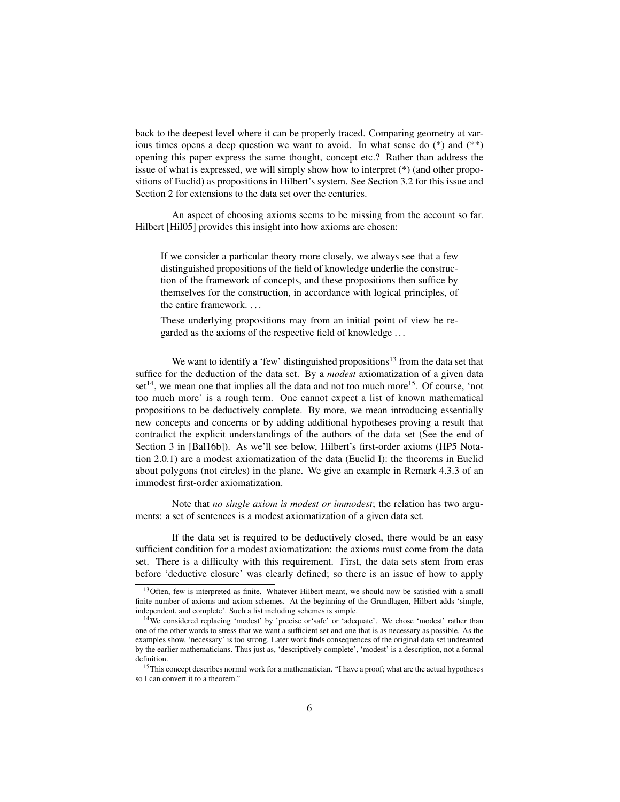back to the deepest level where it can be properly traced. Comparing geometry at various times opens a deep question we want to avoid. In what sense do (\*) and (\*\*) opening this paper express the same thought, concept etc.? Rather than address the issue of what is expressed, we will simply show how to interpret (\*) (and other propositions of Euclid) as propositions in Hilbert's system. See Section 3.2 for this issue and Section 2 for extensions to the data set over the centuries.

An aspect of choosing axioms seems to be missing from the account so far. Hilbert [Hil05] provides this insight into how axioms are chosen:

If we consider a particular theory more closely, we always see that a few distinguished propositions of the field of knowledge underlie the construction of the framework of concepts, and these propositions then suffice by themselves for the construction, in accordance with logical principles, of the entire framework. . . .

These underlying propositions may from an initial point of view be regarded as the axioms of the respective field of knowledge . . .

We want to identify a 'few' distinguished propositions<sup>13</sup> from the data set that suffice for the deduction of the data set. By a *modest* axiomatization of a given data set<sup>14</sup>, we mean one that implies all the data and not too much more<sup>15</sup>. Of course, 'not too much more' is a rough term. One cannot expect a list of known mathematical propositions to be deductively complete. By more, we mean introducing essentially new concepts and concerns or by adding additional hypotheses proving a result that contradict the explicit understandings of the authors of the data set (See the end of Section 3 in [Bal16b]). As we'll see below, Hilbert's first-order axioms (HP5 Notation 2.0.1) are a modest axiomatization of the data (Euclid I): the theorems in Euclid about polygons (not circles) in the plane. We give an example in Remark 4.3.3 of an immodest first-order axiomatization.

Note that *no single axiom is modest or immodest*; the relation has two arguments: a set of sentences is a modest axiomatization of a given data set.

If the data set is required to be deductively closed, there would be an easy sufficient condition for a modest axiomatization: the axioms must come from the data set. There is a difficulty with this requirement. First, the data sets stem from eras before 'deductive closure' was clearly defined; so there is an issue of how to apply

<sup>&</sup>lt;sup>13</sup>Often, few is interpreted as finite. Whatever Hilbert meant, we should now be satisfied with a small finite number of axioms and axiom schemes. At the beginning of the Grundlagen, Hilbert adds 'simple, independent, and complete'. Such a list including schemes is simple.

<sup>&</sup>lt;sup>14</sup>We considered replacing 'modest' by 'precise or 'safe' or 'adequate'. We chose 'modest' rather than one of the other words to stress that we want a sufficient set and one that is as necessary as possible. As the examples show, 'necessary' is too strong. Later work finds consequences of the original data set undreamed by the earlier mathematicians. Thus just as, 'descriptively complete', 'modest' is a description, not a formal definition.

<sup>&</sup>lt;sup>15</sup>This concept describes normal work for a mathematician. "I have a proof; what are the actual hypotheses so I can convert it to a theorem."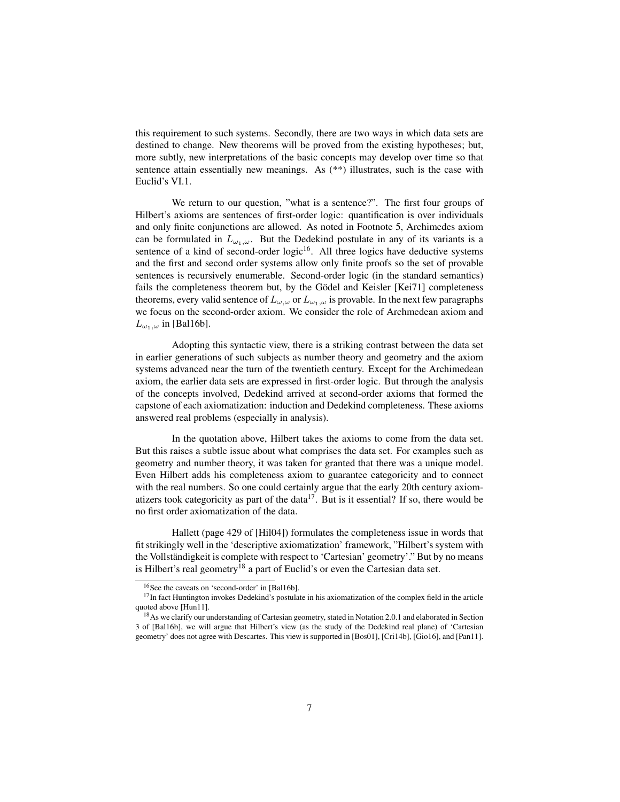this requirement to such systems. Secondly, there are two ways in which data sets are destined to change. New theorems will be proved from the existing hypotheses; but, more subtly, new interpretations of the basic concepts may develop over time so that sentence attain essentially new meanings. As (\*\*) illustrates, such is the case with Euclid's VI.1.

We return to our question, "what is a sentence?". The first four groups of Hilbert's axioms are sentences of first-order logic: quantification is over individuals and only finite conjunctions are allowed. As noted in Footnote 5, Archimedes axiom can be formulated in  $L_{\omega_1,\omega}$ . But the Dedekind postulate in any of its variants is a sentence of a kind of second-order logic<sup>16</sup>. All three logics have deductive systems and the first and second order systems allow only finite proofs so the set of provable sentences is recursively enumerable. Second-order logic (in the standard semantics) fails the completeness theorem but, by the Gödel and Keisler [Kei71] completeness theorems, every valid sentence of  $L_{\omega,\omega}$  or  $L_{\omega_1,\omega}$  is provable. In the next few paragraphs we focus on the second-order axiom. We consider the role of Archmedean axiom and  $L_{\omega_1,\omega}$  in [Bal16b].

Adopting this syntactic view, there is a striking contrast between the data set in earlier generations of such subjects as number theory and geometry and the axiom systems advanced near the turn of the twentieth century. Except for the Archimedean axiom, the earlier data sets are expressed in first-order logic. But through the analysis of the concepts involved, Dedekind arrived at second-order axioms that formed the capstone of each axiomatization: induction and Dedekind completeness. These axioms answered real problems (especially in analysis).

In the quotation above, Hilbert takes the axioms to come from the data set. But this raises a subtle issue about what comprises the data set. For examples such as geometry and number theory, it was taken for granted that there was a unique model. Even Hilbert adds his completeness axiom to guarantee categoricity and to connect with the real numbers. So one could certainly argue that the early 20th century axiomatizers took categoricity as part of the data<sup>17</sup>. But is it essential? If so, there would be no first order axiomatization of the data.

Hallett (page 429 of [Hil04]) formulates the completeness issue in words that fit strikingly well in the 'descriptive axiomatization' framework, "Hilbert's system with the Vollständigkeit is complete with respect to 'Cartesian' geometry'." But by no means is Hilbert's real geometry<sup>18</sup> a part of Euclid's or even the Cartesian data set.

<sup>16</sup>See the caveats on 'second-order' in [Bal16b].

<sup>&</sup>lt;sup>17</sup>In fact Huntington invokes Dedekind's postulate in his axiomatization of the complex field in the article quoted above [Hun11].

<sup>&</sup>lt;sup>18</sup>As we clarify our understanding of Cartesian geometry, stated in Notation 2.0.1 and elaborated in Section 3 of [Bal16b], we will argue that Hilbert's view (as the study of the Dedekind real plane) of 'Cartesian geometry' does not agree with Descartes. This view is supported in [Bos01], [Cri14b], [Gio16], and [Pan11].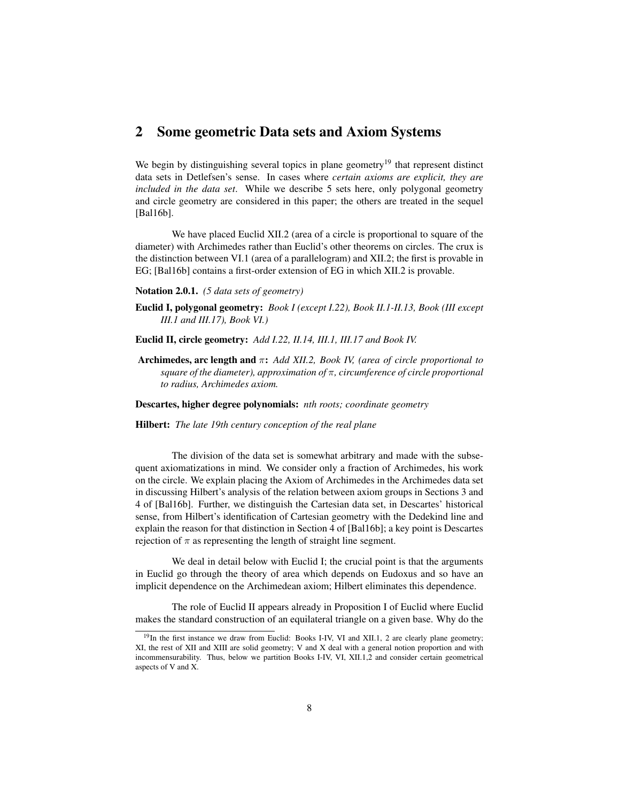### 2 Some geometric Data sets and Axiom Systems

We begin by distinguishing several topics in plane geometry<sup>19</sup> that represent distinct data sets in Detlefsen's sense. In cases where *certain axioms are explicit, they are included in the data set*. While we describe 5 sets here, only polygonal geometry and circle geometry are considered in this paper; the others are treated in the sequel [Bal16b].

We have placed Euclid XII.2 (area of a circle is proportional to square of the diameter) with Archimedes rather than Euclid's other theorems on circles. The crux is the distinction between VI.1 (area of a parallelogram) and XII.2; the first is provable in EG; [Bal16b] contains a first-order extension of EG in which XII.2 is provable.

Notation 2.0.1. *(5 data sets of geometry)*

- Euclid I, polygonal geometry: *Book I (except I.22), Book II.1-II.13, Book (III except III.1 and III.17), Book VI.)*
- Euclid II, circle geometry: *Add I.22, II.14, III.1, III.17 and Book IV.*
- Archimedes, arc length and π: *Add XII.2, Book IV, (area of circle proportional to square of the diameter), approximation of* π*, circumference of circle proportional to radius, Archimedes axiom.*

Descartes, higher degree polynomials: *nth roots; coordinate geometry*

Hilbert: *The late 19th century conception of the real plane*

The division of the data set is somewhat arbitrary and made with the subsequent axiomatizations in mind. We consider only a fraction of Archimedes, his work on the circle. We explain placing the Axiom of Archimedes in the Archimedes data set in discussing Hilbert's analysis of the relation between axiom groups in Sections 3 and 4 of [Bal16b]. Further, we distinguish the Cartesian data set, in Descartes' historical sense, from Hilbert's identification of Cartesian geometry with the Dedekind line and explain the reason for that distinction in Section 4 of [Bal16b]; a key point is Descartes rejection of  $\pi$  as representing the length of straight line segment.

We deal in detail below with Euclid I; the crucial point is that the arguments in Euclid go through the theory of area which depends on Eudoxus and so have an implicit dependence on the Archimedean axiom; Hilbert eliminates this dependence.

The role of Euclid II appears already in Proposition I of Euclid where Euclid makes the standard construction of an equilateral triangle on a given base. Why do the

 $19$ In the first instance we draw from Euclid: Books I-IV, VI and XII.1, 2 are clearly plane geometry; XI, the rest of XII and XIII are solid geometry; V and X deal with a general notion proportion and with incommensurability. Thus, below we partition Books I-IV, VI, XII.1,2 and consider certain geometrical aspects of V and X.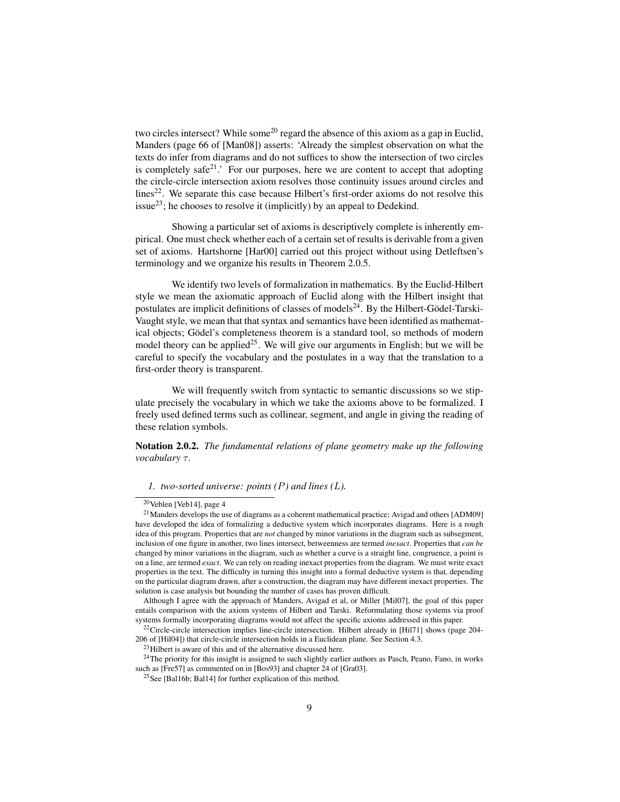two circles intersect? While some<sup>20</sup> regard the absence of this axiom as a gap in Euclid, Manders (page 66 of [Man08]) asserts: 'Already the simplest observation on what the texts do infer from diagrams and do not suffices to show the intersection of two circles is completely safe<sup>21</sup>.' For our purposes, here we are content to accept that adopting the circle-circle intersection axiom resolves those continuity issues around circles and lines<sup>22</sup>. We separate this case because Hilbert's first-order axioms do not resolve this issue<sup>23</sup>; he chooses to resolve it (implicitly) by an appeal to Dedekind.

Showing a particular set of axioms is descriptively complete is inherently empirical. One must check whether each of a certain set of results is derivable from a given set of axioms. Hartshorne [Har00] carried out this project without using Detleftsen's terminology and we organize his results in Theorem 2.0.5.

We identify two levels of formalization in mathematics. By the Euclid-Hilbert style we mean the axiomatic approach of Euclid along with the Hilbert insight that postulates are implicit definitions of classes of models<sup>24</sup>. By the Hilbert-Gödel-Tarski-Vaught style, we mean that that syntax and semantics have been identified as mathematical objects; Gödel's completeness theorem is a standard tool, so methods of modern model theory can be applied<sup>25</sup>. We will give our arguments in English; but we will be careful to specify the vocabulary and the postulates in a way that the translation to a first-order theory is transparent.

We will frequently switch from syntactic to semantic discussions so we stipulate precisely the vocabulary in which we take the axioms above to be formalized. I freely used defined terms such as collinear, segment, and angle in giving the reading of these relation symbols.

Notation 2.0.2. *The fundamental relations of plane geometry make up the following vocabulary* τ.

#### *1. two-sorted universe: points (*P*) and lines (*L*).*

<sup>20</sup>Veblen [Veb14], page 4

<sup>21</sup>Manders develops the use of diagrams as a coherent mathematical practice; Avigad and others [ADM09] have developed the idea of formalizing a deductive system which incorporates diagrams. Here is a rough idea of this program. Properties that are *not* changed by minor variations in the diagram such as subsegment, inclusion of one figure in another, two lines intersect, betweenness are termed *inexact*. Properties that *can be* changed by minor variations in the diagram, such as whether a curve is a straight line, congruence, a point is on a line, are termed *exact*. We can rely on reading inexact properties from the diagram. We must write exact properties in the text. The difficulty in turning this insight into a formal deductive system is that, depending on the particular diagram drawn, after a construction, the diagram may have different inexact properties. The solution is case analysis but bounding the number of cases has proven difficult.

Although I agree with the approach of Manders, Avigad et al, or Miller [Mil07], the goal of this paper entails comparison with the axiom systems of Hilbert and Tarski. Reformulating those systems via proof systems formally incorporating diagrams would not affect the specific axioms addressed in this paper.

<sup>&</sup>lt;sup>22</sup>Circle-circle intersection implies line-circle intersection. Hilbert already in [Hil71] shows (page 204-206 of [Hil04]) that circle-circle intersection holds in a Euclidean plane. See Section 4.3.

 $^{23}$ Hilbert is aware of this and of the alternative discussed here.

 $24$ The priority for this insight is assigned to such slightly earlier authors as Pasch, Peano, Fano, in works such as [Fre57] as commented on in [Bos93] and chapter 24 of [Gra03].

<sup>&</sup>lt;sup>25</sup>See [Bal16b; Bal14] for further explication of this method.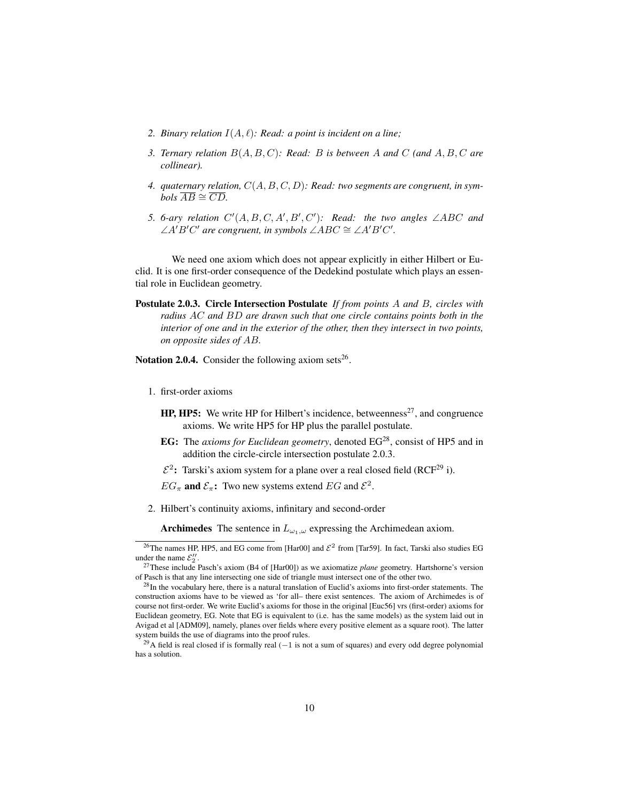- 2. Binary relation  $I(A, \ell)$ : Read: a point is incident on a line;
- *3. Ternary relation* B(A, B, C)*: Read:* B *is between* A *and* C *(and* A, B, C *are collinear).*
- *4. quaternary relation,* C(A, B, C, D)*: Read: two segments are congruent, in sym* $bols \overline{AB} \cong \overline{CD}.$
- 5. 6-ary relation  $C'(A, B, C, A', B', C')$ : Read: the two angles  $\angle ABC$  and  $\angle A'B'C'$  are congruent, in symbols  $\angle ABC \cong \angle A'B'C'.$

We need one axiom which does not appear explicitly in either Hilbert or Euclid. It is one first-order consequence of the Dedekind postulate which plays an essential role in Euclidean geometry.

Postulate 2.0.3. Circle Intersection Postulate *If from points* A *and* B*, circles with radius* AC *and* BD *are drawn such that one circle contains points both in the interior of one and in the exterior of the other, then they intersect in two points, on opposite sides of* AB*.*

Notation 2.0.4. Consider the following axiom sets<sup>26</sup>.

- 1. first-order axioms
	- $HP$ ,  $HP$ 5: We write HP for Hilbert's incidence, betweenness<sup>27</sup>, and congruence axioms. We write HP5 for HP plus the parallel postulate.
	- EG: The *axioms for Euclidean geometry*, denoted EG<sup>28</sup>, consist of HP5 and in addition the circle-circle intersection postulate 2.0.3.
	- $\mathcal{E}^2$ : Tarski's axiom system for a plane over a real closed field (RCF<sup>29</sup> i).
	- $EG_{\pi}$  and  $\mathcal{E}_{\pi}$ : Two new systems extend  $EG$  and  $\mathcal{E}^2$ .
- 2. Hilbert's continuity axioms, infinitary and second-order

Archimedes The sentence in  $L_{\omega_1,\omega}$  expressing the Archimedean axiom.

<sup>&</sup>lt;sup>26</sup>The names HP, HP5, and EG come from [Har00] and  $\mathcal{E}^2$  from [Tar59]. In fact, Tarski also studies EG under the name  $\mathcal{E}_2''$ .

<sup>27</sup>These include Pasch's axiom (B4 of [Har00]) as we axiomatize *plane* geometry. Hartshorne's version of Pasch is that any line intersecting one side of triangle must intersect one of the other two.

<sup>&</sup>lt;sup>28</sup>In the vocabulary here, there is a natural translation of Euclid's axioms into first-order statements. The construction axioms have to be viewed as 'for all– there exist sentences. The axiom of Archimedes is of course not first-order. We write Euclid's axioms for those in the original [Euc56] vrs (first-order) axioms for Euclidean geometry, EG. Note that EG is equivalent to (i.e. has the same models) as the system laid out in Avigad et al [ADM09], namely, planes over fields where every positive element as a square root). The latter system builds the use of diagrams into the proof rules.

<sup>&</sup>lt;sup>29</sup>A field is real closed if is formally real (−1 is not a sum of squares) and every odd degree polynomial has a solution.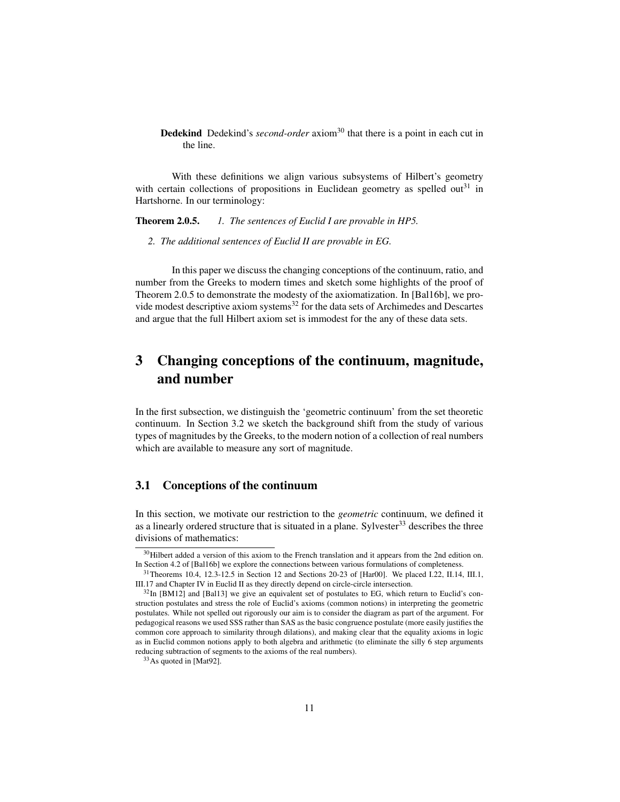Dedekind Dedekind's *second-order* axiom<sup>30</sup> that there is a point in each cut in the line.

With these definitions we align various subsystems of Hilbert's geometry with certain collections of propositions in Euclidean geometry as spelled out $31$  in Hartshorne. In our terminology:

Theorem 2.0.5. *1. The sentences of Euclid I are provable in HP5.*

*2. The additional sentences of Euclid II are provable in EG.*

In this paper we discuss the changing conceptions of the continuum, ratio, and number from the Greeks to modern times and sketch some highlights of the proof of Theorem 2.0.5 to demonstrate the modesty of the axiomatization. In [Bal16b], we provide modest descriptive axiom systems $32$  for the data sets of Archimedes and Descartes and argue that the full Hilbert axiom set is immodest for the any of these data sets.

# 3 Changing conceptions of the continuum, magnitude, and number

In the first subsection, we distinguish the 'geometric continuum' from the set theoretic continuum. In Section 3.2 we sketch the background shift from the study of various types of magnitudes by the Greeks, to the modern notion of a collection of real numbers which are available to measure any sort of magnitude.

### 3.1 Conceptions of the continuum

In this section, we motivate our restriction to the *geometric* continuum, we defined it as a linearly ordered structure that is situated in a plane. Sylvester<sup>33</sup> describes the three divisions of mathematics:

<sup>&</sup>lt;sup>30</sup>Hilbert added a version of this axiom to the French translation and it appears from the 2nd edition on. In Section 4.2 of [Bal16b] we explore the connections between various formulations of completeness.

 $31$ Theorems 10.4, 12.3-12.5 in Section 12 and Sections 20-23 of [Har00]. We placed I.22, II.14, III.1, III.17 and Chapter IV in Euclid II as they directly depend on circle-circle intersection.

 $32$ In [BM12] and [Bal13] we give an equivalent set of postulates to EG, which return to Euclid's construction postulates and stress the role of Euclid's axioms (common notions) in interpreting the geometric postulates. While not spelled out rigorously our aim is to consider the diagram as part of the argument. For pedagogical reasons we used SSS rather than SAS as the basic congruence postulate (more easily justifies the common core approach to similarity through dilations), and making clear that the equality axioms in logic as in Euclid common notions apply to both algebra and arithmetic (to eliminate the silly 6 step arguments reducing subtraction of segments to the axioms of the real numbers).

<sup>33</sup>As quoted in [Mat92].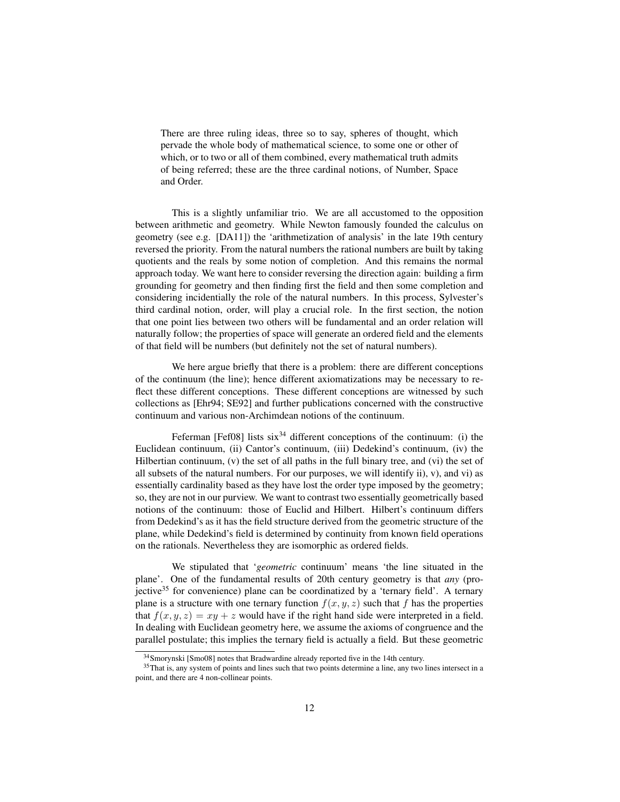There are three ruling ideas, three so to say, spheres of thought, which pervade the whole body of mathematical science, to some one or other of which, or to two or all of them combined, every mathematical truth admits of being referred; these are the three cardinal notions, of Number, Space and Order.

This is a slightly unfamiliar trio. We are all accustomed to the opposition between arithmetic and geometry. While Newton famously founded the calculus on geometry (see e.g. [DA11]) the 'arithmetization of analysis' in the late 19th century reversed the priority. From the natural numbers the rational numbers are built by taking quotients and the reals by some notion of completion. And this remains the normal approach today. We want here to consider reversing the direction again: building a firm grounding for geometry and then finding first the field and then some completion and considering incidentially the role of the natural numbers. In this process, Sylvester's third cardinal notion, order, will play a crucial role. In the first section, the notion that one point lies between two others will be fundamental and an order relation will naturally follow; the properties of space will generate an ordered field and the elements of that field will be numbers (but definitely not the set of natural numbers).

We here argue briefly that there is a problem: there are different conceptions of the continuum (the line); hence different axiomatizations may be necessary to reflect these different conceptions. These different conceptions are witnessed by such collections as [Ehr94; SE92] and further publications concerned with the constructive continuum and various non-Archimdean notions of the continuum.

Feferman [Fef08] lists  $six^{34}$  different conceptions of the continuum: (i) the Euclidean continuum, (ii) Cantor's continuum, (iii) Dedekind's continuum, (iv) the Hilbertian continuum, (v) the set of all paths in the full binary tree, and (vi) the set of all subsets of the natural numbers. For our purposes, we will identify ii),  $v$ ), and vi) as essentially cardinality based as they have lost the order type imposed by the geometry; so, they are not in our purview. We want to contrast two essentially geometrically based notions of the continuum: those of Euclid and Hilbert. Hilbert's continuum differs from Dedekind's as it has the field structure derived from the geometric structure of the plane, while Dedekind's field is determined by continuity from known field operations on the rationals. Nevertheless they are isomorphic as ordered fields.

We stipulated that '*geometric* continuum' means 'the line situated in the plane'. One of the fundamental results of 20th century geometry is that *any* (projective<sup>35</sup> for convenience) plane can be coordinatized by a 'ternary field'. A ternary plane is a structure with one ternary function  $f(x, y, z)$  such that f has the properties that  $f(x, y, z) = xy + z$  would have if the right hand side were interpreted in a field. In dealing with Euclidean geometry here, we assume the axioms of congruence and the parallel postulate; this implies the ternary field is actually a field. But these geometric

<sup>&</sup>lt;sup>34</sup>Smorynski [Smo08] notes that Bradwardine already reported five in the 14th century.

<sup>&</sup>lt;sup>35</sup>That is, any system of points and lines such that two points determine a line, any two lines intersect in a point, and there are 4 non-collinear points.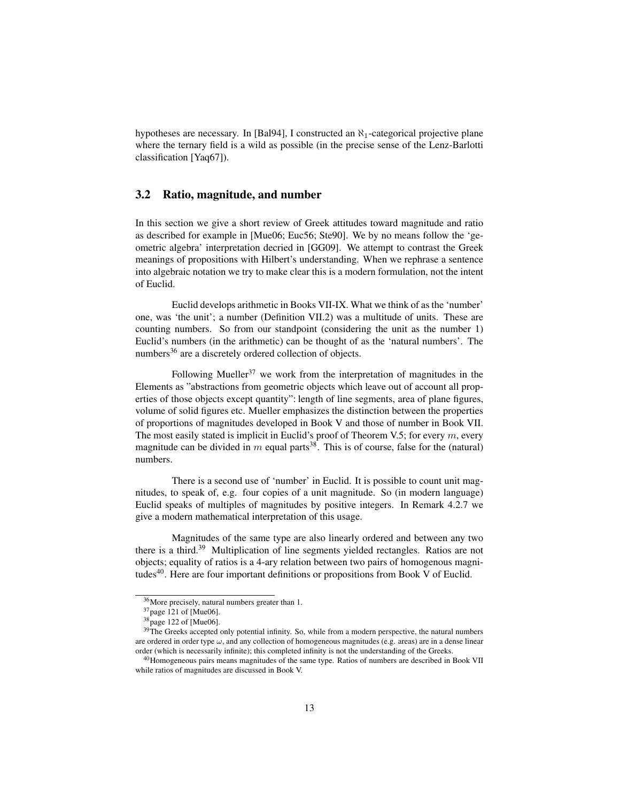hypotheses are necessary. In [Bal94], I constructed an  $\aleph_1$ -categorical projective plane where the ternary field is a wild as possible (in the precise sense of the Lenz-Barlotti classification [Yaq67]).

### 3.2 Ratio, magnitude, and number

In this section we give a short review of Greek attitudes toward magnitude and ratio as described for example in [Mue06; Euc56; Ste90]. We by no means follow the 'geometric algebra' interpretation decried in [GG09]. We attempt to contrast the Greek meanings of propositions with Hilbert's understanding. When we rephrase a sentence into algebraic notation we try to make clear this is a modern formulation, not the intent of Euclid.

Euclid develops arithmetic in Books VII-IX. What we think of as the 'number' one, was 'the unit'; a number (Definition VII.2) was a multitude of units. These are counting numbers. So from our standpoint (considering the unit as the number 1) Euclid's numbers (in the arithmetic) can be thought of as the 'natural numbers'. The numbers<sup>36</sup> are a discretely ordered collection of objects.

Following Mueller<sup>37</sup> we work from the interpretation of magnitudes in the Elements as "abstractions from geometric objects which leave out of account all properties of those objects except quantity": length of line segments, area of plane figures, volume of solid figures etc. Mueller emphasizes the distinction between the properties of proportions of magnitudes developed in Book V and those of number in Book VII. The most easily stated is implicit in Euclid's proof of Theorem V.5; for every  $m$ , every magnitude can be divided in m equal parts<sup>38</sup>. This is of course, false for the (natural) numbers.

There is a second use of 'number' in Euclid. It is possible to count unit magnitudes, to speak of, e.g. four copies of a unit magnitude. So (in modern language) Euclid speaks of multiples of magnitudes by positive integers. In Remark 4.2.7 we give a modern mathematical interpretation of this usage.

Magnitudes of the same type are also linearly ordered and between any two there is a third.<sup>39</sup> Multiplication of line segments yielded rectangles. Ratios are not objects; equality of ratios is a 4-ary relation between two pairs of homogenous magnitudes<sup>40</sup>. Here are four important definitions or propositions from Book V of Euclid.

<sup>36</sup>More precisely, natural numbers greater than 1.

<sup>37</sup>page 121 of [Mue06].

<sup>38</sup>page 122 of [Mue06].

<sup>&</sup>lt;sup>39</sup>The Greeks accepted only potential infinity. So, while from a modern perspective, the natural numbers are ordered in order type  $\omega$ , and any collection of homogeneous magnitudes (e.g. areas) are in a dense linear order (which is necessarily infinite); this completed infinity is not the understanding of the Greeks.

<sup>&</sup>lt;sup>40</sup>Homogeneous pairs means magnitudes of the same type. Ratios of numbers are described in Book VII while ratios of magnitudes are discussed in Book V.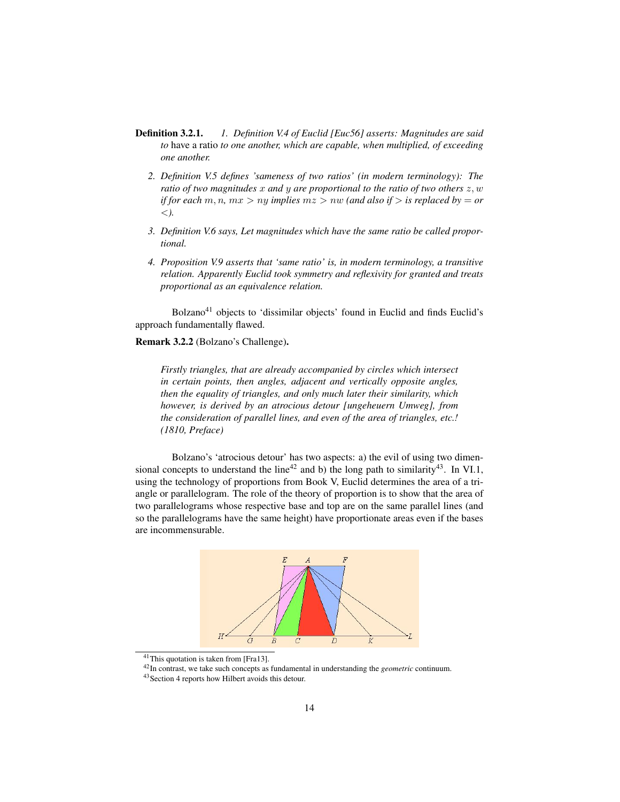- Definition 3.2.1. *1. Definition V.4 of Euclid [Euc56] asserts: Magnitudes are said to* have a ratio *to one another, which are capable, when multiplied, of exceeding one another.*
	- *2. Definition V.5 defines 'sameness of two ratios' (in modern terminology): The ratio of two magnitudes* x *and* y *are proportional to the ratio of two others* z, w *if for each*  $m, n, mx > ny$  *implies*  $mz > nw$  *(and also if > is replaced by = or* <*).*
	- *3. Definition V.6 says, Let magnitudes which have the same ratio be called proportional.*
	- *4. Proposition V.9 asserts that 'same ratio' is, in modern terminology, a transitive relation. Apparently Euclid took symmetry and reflexivity for granted and treats proportional as an equivalence relation.*

Bolzano<sup>41</sup> objects to 'dissimilar objects' found in Euclid and finds Euclid's approach fundamentally flawed.

Remark 3.2.2 (Bolzano's Challenge).

*Firstly triangles, that are already accompanied by circles which intersect in certain points, then angles, adjacent and vertically opposite angles, then the equality of triangles, and only much later their similarity, which however, is derived by an atrocious detour [ungeheuern Umweg], from the consideration of parallel lines, and even of the area of triangles, etc.! (1810, Preface)*

Bolzano's 'atrocious detour' has two aspects: a) the evil of using two dimensional concepts to understand the line<sup>42</sup> and b) the long path to similarity<sup>43</sup>. In VI.1, using the technology of proportions from Book V, Euclid determines the area of a triangle or parallelogram. The role of the theory of proportion is to show that the area of two parallelograms whose respective base and top are on the same parallel lines (and so the parallelograms have the same height) have proportionate areas even if the bases are incommensurable.



<sup>41</sup>This quotation is taken from [Fra13].

<sup>42</sup>In contrast, we take such concepts as fundamental in understanding the *geometric* continuum.

<sup>43</sup>Section 4 reports how Hilbert avoids this detour.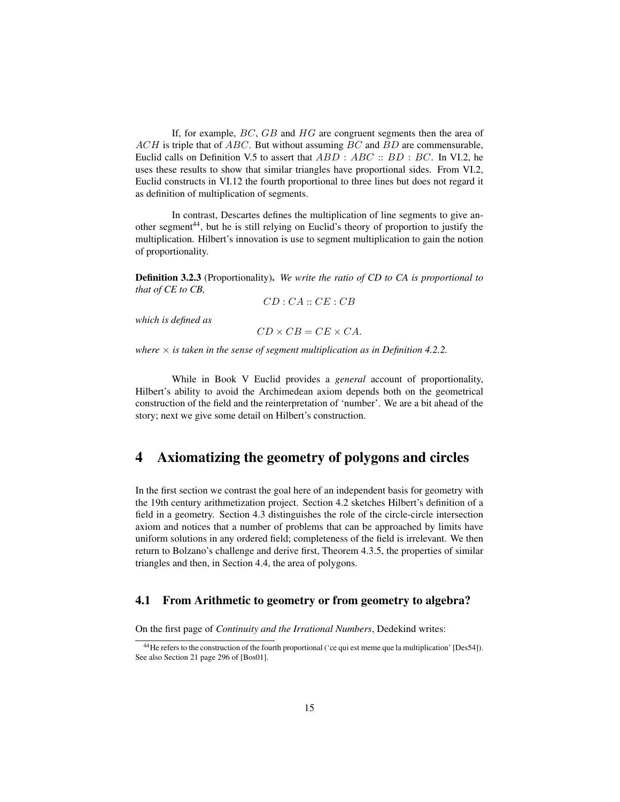If, for example,  $BC$ ,  $GB$  and  $HG$  are congruent segments then the area of  $ACH$  is triple that of  $ABC$ . But without assuming  $BC$  and  $BD$  are commensurable, Euclid calls on Definition V.5 to assert that  $ABD : ABC :: BD : BC$ . In VI.2, he uses these results to show that similar triangles have proportional sides. From VI.2, Euclid constructs in VI.12 the fourth proportional to three lines but does not regard it as definition of multiplication of segments.

In contrast, Descartes defines the multiplication of line segments to give another segment<sup>44</sup>, but he is still relying on Euclid's theory of proportion to justify the multiplication. Hilbert's innovation is use to segment multiplication to gain the notion of proportionality.

Definition 3.2.3 (Proportionality). *We write the ratio of CD to CA is proportional to that of CE to CB,*

$$
CD:CA::CE:CB
$$

*which is defined as*

 $CD \times CB = CE \times CA$ .

*where*  $\times$  *is taken in the sense of segment multiplication as in Definition* 4.2.2.

While in Book V Euclid provides a *general* account of proportionality, Hilbert's ability to avoid the Archimedean axiom depends both on the geometrical construction of the field and the reinterpretation of 'number'. We are a bit ahead of the story; next we give some detail on Hilbert's construction.

## 4 Axiomatizing the geometry of polygons and circles

In the first section we contrast the goal here of an independent basis for geometry with the 19th century arithmetization project. Section 4.2 sketches Hilbert's definition of a field in a geometry. Section 4.3 distinguishes the role of the circle-circle intersection axiom and notices that a number of problems that can be approached by limits have uniform solutions in any ordered field; completeness of the field is irrelevant. We then return to Bolzano's challenge and derive first, Theorem 4.3.5, the properties of similar triangles and then, in Section 4.4, the area of polygons.

### 4.1 From Arithmetic to geometry or from geometry to algebra?

On the first page of *Continuity and the Irrational Numbers*, Dedekind writes:

<sup>44</sup>He refers to the construction of the fourth proportional ('ce qui est meme que la multiplication' [Des54]). See also Section 21 page 296 of [Bos01].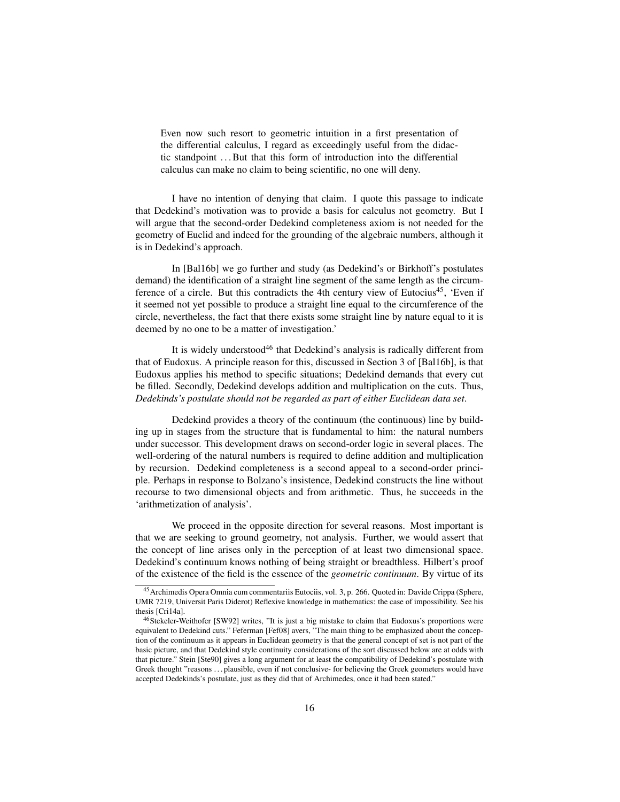Even now such resort to geometric intuition in a first presentation of the differential calculus, I regard as exceedingly useful from the didactic standpoint . . . But that this form of introduction into the differential calculus can make no claim to being scientific, no one will deny.

I have no intention of denying that claim. I quote this passage to indicate that Dedekind's motivation was to provide a basis for calculus not geometry. But I will argue that the second-order Dedekind completeness axiom is not needed for the geometry of Euclid and indeed for the grounding of the algebraic numbers, although it is in Dedekind's approach.

In [Bal16b] we go further and study (as Dedekind's or Birkhoff's postulates demand) the identification of a straight line segment of the same length as the circumference of a circle. But this contradicts the 4th century view of Eutocius<sup>45</sup>, 'Even if it seemed not yet possible to produce a straight line equal to the circumference of the circle, nevertheless, the fact that there exists some straight line by nature equal to it is deemed by no one to be a matter of investigation.'

It is widely understood<sup>46</sup> that Dedekind's analysis is radically different from that of Eudoxus. A principle reason for this, discussed in Section 3 of [Bal16b], is that Eudoxus applies his method to specific situations; Dedekind demands that every cut be filled. Secondly, Dedekind develops addition and multiplication on the cuts. Thus, *Dedekinds's postulate should not be regarded as part of either Euclidean data set*.

Dedekind provides a theory of the continuum (the continuous) line by building up in stages from the structure that is fundamental to him: the natural numbers under successor. This development draws on second-order logic in several places. The well-ordering of the natural numbers is required to define addition and multiplication by recursion. Dedekind completeness is a second appeal to a second-order principle. Perhaps in response to Bolzano's insistence, Dedekind constructs the line without recourse to two dimensional objects and from arithmetic. Thus, he succeeds in the 'arithmetization of analysis'.

We proceed in the opposite direction for several reasons. Most important is that we are seeking to ground geometry, not analysis. Further, we would assert that the concept of line arises only in the perception of at least two dimensional space. Dedekind's continuum knows nothing of being straight or breadthless. Hilbert's proof of the existence of the field is the essence of the *geometric continuum*. By virtue of its

<sup>45</sup>Archimedis Opera Omnia cum commentariis Eutociis, vol. 3, p. 266. Quoted in: Davide Crippa (Sphere, UMR 7219, Universit Paris Diderot) Reflexive knowledge in mathematics: the case of impossibility. See his thesis [Cri14a].

<sup>46</sup>Stekeler-Weithofer [SW92] writes, "It is just a big mistake to claim that Eudoxus's proportions were equivalent to Dedekind cuts." Feferman [Fef08] avers, "The main thing to be emphasized about the conception of the continuum as it appears in Euclidean geometry is that the general concept of set is not part of the basic picture, and that Dedekind style continuity considerations of the sort discussed below are at odds with that picture." Stein [Ste90] gives a long argument for at least the compatibility of Dedekind's postulate with Greek thought "reasons ... plausible, even if not conclusive- for believing the Greek geometers would have accepted Dedekinds's postulate, just as they did that of Archimedes, once it had been stated."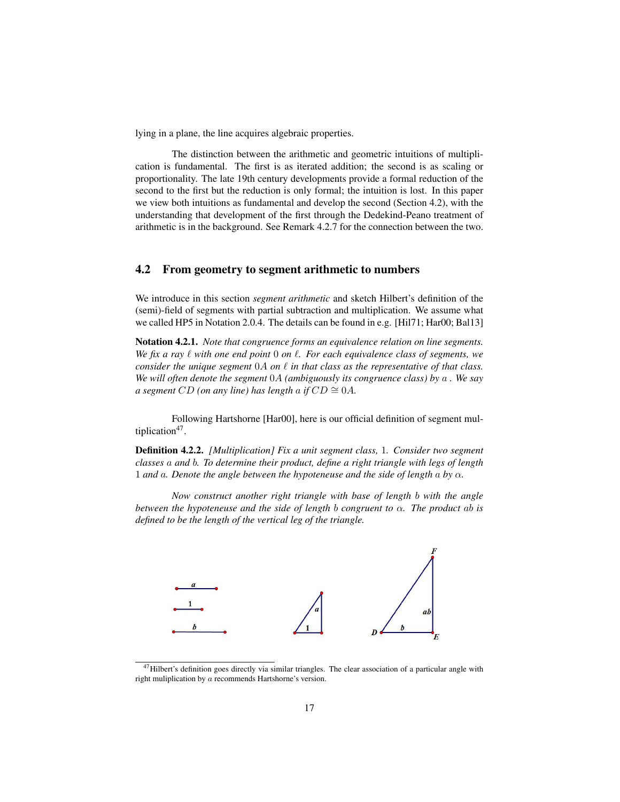lying in a plane, the line acquires algebraic properties.

The distinction between the arithmetic and geometric intuitions of multiplication is fundamental. The first is as iterated addition; the second is as scaling or proportionality. The late 19th century developments provide a formal reduction of the second to the first but the reduction is only formal; the intuition is lost. In this paper we view both intuitions as fundamental and develop the second (Section 4.2), with the understanding that development of the first through the Dedekind-Peano treatment of arithmetic is in the background. See Remark 4.2.7 for the connection between the two.

#### 4.2 From geometry to segment arithmetic to numbers

We introduce in this section *segment arithmetic* and sketch Hilbert's definition of the (semi)-field of segments with partial subtraction and multiplication. We assume what we called HP5 in Notation 2.0.4. The details can be found in e.g. [Hil71; Har00; Bal13]

Notation 4.2.1. *Note that congruence forms an equivalence relation on line segments. We fix a ray*  $\ell$  *with one end point* 0 *on*  $\ell$ *. For each equivalence class of segments, we consider the unique segment*  $0A$  *on*  $\ell$  *in that class as the representative of that class. We will often denote the segment* 0A *(ambiguously its congruence class) by* a *. We say a segment*  $CD$  *(on any line)* has length a *if*  $CD \cong 0A$ .

Following Hartshorne [Har00], here is our official definition of segment multiplication<sup>47</sup>.

Definition 4.2.2. *[Multiplication] Fix a unit segment class,* 1*. Consider two segment classes* a *and* b*. To determine their product, define a right triangle with legs of length* 1 *and* a*. Denote the angle between the hypoteneuse and the side of length* a *by* α*.*

*Now construct another right triangle with base of length* b *with the angle between the hypoteneuse and the side of length b congruent to*  $\alpha$ *. The product ab is defined to be the length of the vertical leg of the triangle.*



 $^{47}$ Hilbert's definition goes directly via similar triangles. The clear association of a particular angle with right muliplication by a recommends Hartshorne's version.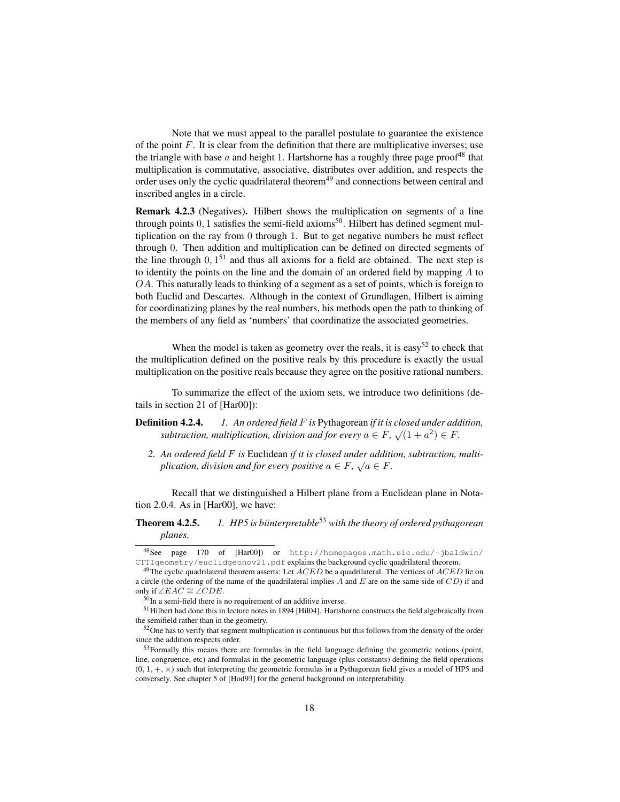Note that we must appeal to the parallel postulate to guarantee the existence of the point  $F$ . It is clear from the definition that there are multiplicative inverses; use the triangle with base a and height 1. Hartshorne has a roughly three page proof<sup>48</sup> that multiplication is commutative, associative, distributes over addition, and respects the order uses only the cyclic quadrilateral theorem<sup>49</sup> and connections between central and inscribed angles in a circle.

Remark 4.2.3 (Negatives). Hilbert shows the multiplication on segments of a line through points  $0, 1$  satisfies the semi-field axioms<sup>50</sup>. Hilbert has defined segment multiplication on the ray from 0 through 1. But to get negative numbers he must reflect through 0. Then addition and multiplication can be defined on directed segments of the line through  $0, 1<sup>51</sup>$  and thus all axioms for a field are obtained. The next step is to identity the points on the line and the domain of an ordered field by mapping A to OA. This naturally leads to thinking of a segment as a set of points, which is foreign to both Euclid and Descartes. Although in the context of Grundlagen, Hilbert is aiming for coordinatizing planes by the real numbers, his methods open the path to thinking of the members of any field as 'numbers' that coordinatize the associated geometries.

When the model is taken as geometry over the reals, it is easy<sup>52</sup> to check that the multiplication defined on the positive reals by this procedure is exactly the usual multiplication on the positive reals because they agree on the positive rational numbers.

To summarize the effect of the axiom sets, we introduce two definitions (details in section 21 of [Har00]):

- Definition 4.2.4. *1. An ordered field* F *is* Pythagorean *if it is closed under addition,* **subtraction, multiplication, division and for every**  $a \in F$ ,  $\sqrt{(1 + a^2)} \in F$ .
	- *2. An ordered field* F *is* Euclidean *if it is closed under addition, subtraction, multi-*√ *plication, division and for every positive*  $a \in F$ ,  $\sqrt{a} \in F$ .

Recall that we distinguished a Hilbert plane from a Euclidean plane in Notation 2.0.4. As in [Har00], we have:

### Theorem 4.2.5. *1. HP5 is biinterpretable*<sup>53</sup> *with the theory of ordered pythagorean planes.*

<sup>48</sup>See page 170 of [Har00]) or http://homepages.math.uic.edu/˜jbaldwin/ CTTIgeometry/euclidgeonov21.pdf explains the background cyclic quadrilateral theorem.

<sup>&</sup>lt;sup>49</sup>The cyclic quadrilateral theorem asserts: Let  $ACED$  be a quadrilateral. The vertices of  $ACED$  lie on a circle (the ordering of the name of the quadrilateral implies A and E are on the same side of  $CD$ ) if and only if ∠EAC  $\cong \angle CDE$ .

 $50$ In a semi-field there is no requirement of an additive inverse.

<sup>51</sup>Hilbert had done this in lecture notes in 1894 [Hil04]. Hartshorne constructs the field algebraically from the semifield rather than in the geometry.

<sup>52</sup>One has to verify that segment multiplication is continuous but this follows from the density of the order since the addition respects order.

<sup>&</sup>lt;sup>53</sup>Formally this means there are formulas in the field language defining the geometric notions (point, line, congruence, etc) and formulas in the geometric language (plus constants) defining the field operations  $(0, 1, +, \times)$  such that interpreting the geometric formulas in a Pythagorean field gives a model of HP5 and conversely. See chapter 5 of [Hod93] for the general background on interpretability.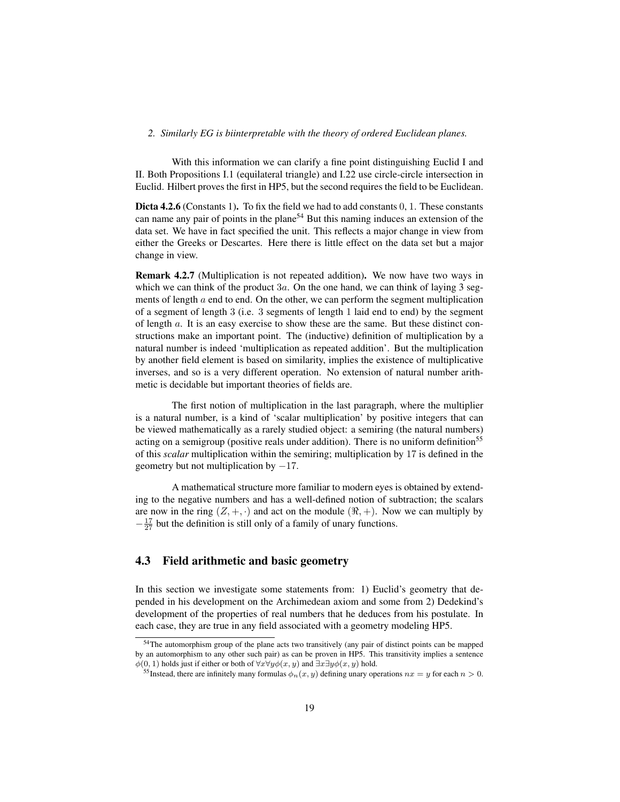#### *2. Similarly EG is biinterpretable with the theory of ordered Euclidean planes.*

With this information we can clarify a fine point distinguishing Euclid I and II. Both Propositions I.1 (equilateral triangle) and I.22 use circle-circle intersection in Euclid. Hilbert proves the first in HP5, but the second requires the field to be Euclidean.

Dicta 4.2.6 (Constants 1). To fix the field we had to add constants 0, 1. These constants can name any pair of points in the plane<sup>54</sup> But this naming induces an extension of the data set. We have in fact specified the unit. This reflects a major change in view from either the Greeks or Descartes. Here there is little effect on the data set but a major change in view.

Remark 4.2.7 (Multiplication is not repeated addition). We now have two ways in which we can think of the product  $3a$ . On the one hand, we can think of laying 3 segments of length  $a$  end to end. On the other, we can perform the segment multiplication of a segment of length 3 (i.e. 3 segments of length 1 laid end to end) by the segment of length a. It is an easy exercise to show these are the same. But these distinct constructions make an important point. The (inductive) definition of multiplication by a natural number is indeed 'multiplication as repeated addition'. But the multiplication by another field element is based on similarity, implies the existence of multiplicative inverses, and so is a very different operation. No extension of natural number arithmetic is decidable but important theories of fields are.

The first notion of multiplication in the last paragraph, where the multiplier is a natural number, is a kind of 'scalar multiplication' by positive integers that can be viewed mathematically as a rarely studied object: a semiring (the natural numbers) acting on a semigroup (positive reals under addition). There is no uniform definition<sup>55</sup> of this *scalar* multiplication within the semiring; multiplication by 17 is defined in the geometry but not multiplication by  $-17$ .

A mathematical structure more familiar to modern eyes is obtained by extending to the negative numbers and has a well-defined notion of subtraction; the scalars are now in the ring  $(Z, +, \cdot)$  and act on the module  $(\Re, +)$ . Now we can multiply by  $-\frac{17}{27}$  but the definition is still only of a family of unary functions.

### 4.3 Field arithmetic and basic geometry

In this section we investigate some statements from: 1) Euclid's geometry that depended in his development on the Archimedean axiom and some from 2) Dedekind's development of the properties of real numbers that he deduces from his postulate. In each case, they are true in any field associated with a geometry modeling HP5.

<sup>&</sup>lt;sup>54</sup>The automorphism group of the plane acts two transitively (any pair of distinct points can be mapped by an automorphism to any other such pair) as can be proven in HP5. This transitivity implies a sentence  $\phi(0, 1)$  holds just if either or both of  $\forall x \forall y \phi(x, y)$  and  $\exists x \exists y \phi(x, y)$  hold.

<sup>&</sup>lt;sup>55</sup>Instead, there are infinitely many formulas  $\phi_n(x, y)$  defining unary operations  $nx = y$  for each  $n > 0$ .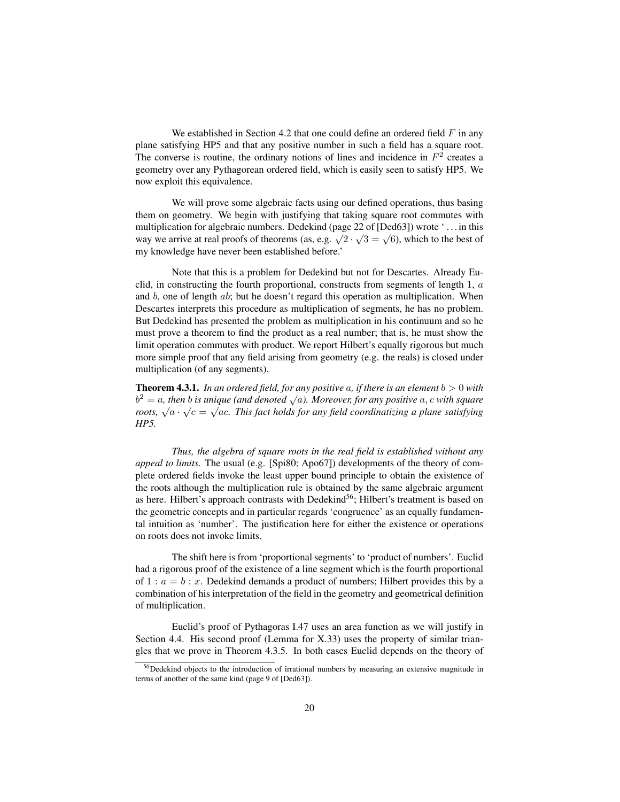We established in Section 4.2 that one could define an ordered field  $F$  in any plane satisfying HP5 and that any positive number in such a field has a square root. The converse is routine, the ordinary notions of lines and incidence in  $F<sup>2</sup>$  creates a geometry over any Pythagorean ordered field, which is easily seen to satisfy HP5. We now exploit this equivalence.

We will prove some algebraic facts using our defined operations, thus basing them on geometry. We begin with justifying that taking square root commutes with multiplication for algebraic numbers. Dedekind (page 22 of [Ded63]) wrote ' . . . in this mumpheanon for argeorate numbers. Determine (page 22 or [Denoy]) whole  $\dots$  in this way we arrive at real proofs of theorems (as, e.g.  $\sqrt{2} \cdot \sqrt{3} = \sqrt{6}$ ), which to the best of my knowledge have never been established before.'

Note that this is a problem for Dedekind but not for Descartes. Already Euclid, in constructing the fourth proportional, constructs from segments of length 1, a and  $b$ , one of length  $ab$ ; but he doesn't regard this operation as multiplication. When Descartes interprets this procedure as multiplication of segments, he has no problem. But Dedekind has presented the problem as multiplication in his continuum and so he must prove a theorem to find the product as a real number; that is, he must show the limit operation commutes with product. We report Hilbert's equally rigorous but much more simple proof that any field arising from geometry (e.g. the reals) is closed under multiplication (of any segments).

**Theorem 4.3.1.** In an ordered field, for any positive a, if there is an element  $b > 0$  with **Theorem 4.5.1.** *In an ordered jield, for any positive a, y mere is an element*  $\sigma > 0$  *with*<br> $b^2 = a$ , *then b is unique* (and denoted  $\sqrt{a}$ ). Moreover, for any positive a, c with square *r* = *a*, then *o* is unique (and denoted  $\sqrt{a}$ ), moreover, for any positive  $a$ , c with square roots,  $\sqrt{a} \cdot \sqrt{c} = \sqrt{ac}$ . This fact holds for any field coordinatizing a plane satisfying *HP5.*

*Thus, the algebra of square roots in the real field is established without any appeal to limits.* The usual (e.g. [Spi80; Apo67]) developments of the theory of complete ordered fields invoke the least upper bound principle to obtain the existence of the roots although the multiplication rule is obtained by the same algebraic argument as here. Hilbert's approach contrasts with Dedekind<sup>56</sup>; Hilbert's treatment is based on the geometric concepts and in particular regards 'congruence' as an equally fundamental intuition as 'number'. The justification here for either the existence or operations on roots does not invoke limits.

The shift here is from 'proportional segments' to 'product of numbers'. Euclid had a rigorous proof of the existence of a line segment which is the fourth proportional of  $1 : a = b : x$ . Dedekind demands a product of numbers; Hilbert provides this by a combination of his interpretation of the field in the geometry and geometrical definition of multiplication.

Euclid's proof of Pythagoras I.47 uses an area function as we will justify in Section 4.4. His second proof (Lemma for X.33) uses the property of similar triangles that we prove in Theorem 4.3.5. In both cases Euclid depends on the theory of

<sup>&</sup>lt;sup>56</sup>Dedekind objects to the introduction of irrational numbers by measuring an extensive magnitude in terms of another of the same kind (page 9 of [Ded63]).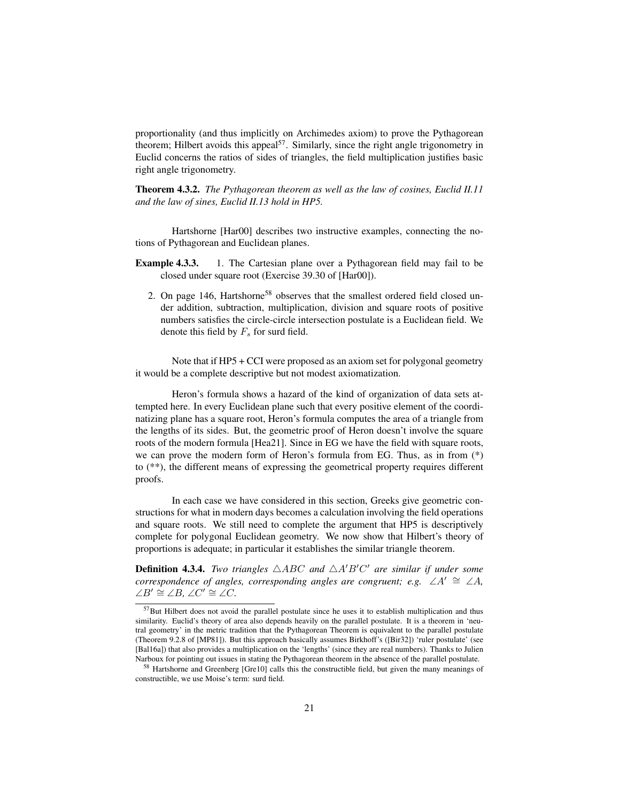proportionality (and thus implicitly on Archimedes axiom) to prove the Pythagorean theorem; Hilbert avoids this appeal<sup>57</sup>. Similarly, since the right angle trigonometry in Euclid concerns the ratios of sides of triangles, the field multiplication justifies basic right angle trigonometry.

Theorem 4.3.2. *The Pythagorean theorem as well as the law of cosines, Euclid II.11 and the law of sines, Euclid II.13 hold in HP5.*

Hartshorne [Har00] describes two instructive examples, connecting the notions of Pythagorean and Euclidean planes.

- **Example 4.3.3.** 1. The Cartesian plane over a Pythagorean field may fail to be closed under square root (Exercise 39.30 of [Har00]).
	- 2. On page 146, Hartshorne<sup>58</sup> observes that the smallest ordered field closed under addition, subtraction, multiplication, division and square roots of positive numbers satisfies the circle-circle intersection postulate is a Euclidean field. We denote this field by  $F<sub>s</sub>$  for surd field.

Note that if HP5 + CCI were proposed as an axiom set for polygonal geometry it would be a complete descriptive but not modest axiomatization.

Heron's formula shows a hazard of the kind of organization of data sets attempted here. In every Euclidean plane such that every positive element of the coordinatizing plane has a square root, Heron's formula computes the area of a triangle from the lengths of its sides. But, the geometric proof of Heron doesn't involve the square roots of the modern formula [Hea21]. Since in EG we have the field with square roots, we can prove the modern form of Heron's formula from EG. Thus, as in from (\*) to (\*\*), the different means of expressing the geometrical property requires different proofs.

In each case we have considered in this section, Greeks give geometric constructions for what in modern days becomes a calculation involving the field operations and square roots. We still need to complete the argument that HP5 is descriptively complete for polygonal Euclidean geometry. We now show that Hilbert's theory of proportions is adequate; in particular it establishes the similar triangle theorem.

**Definition 4.3.4.** *Two triangles*  $\triangle ABC$  *and*  $\triangle A'B'C'$  *are similar if under some correspondence of angles, corresponding angles are congruent; e.g.* ∠A'  $\cong$  ∠A, ∠ $B' \cong \angle B, \angle C' \cong \angle C.$ 

<sup>57</sup>But Hilbert does not avoid the parallel postulate since he uses it to establish multiplication and thus similarity. Euclid's theory of area also depends heavily on the parallel postulate. It is a theorem in 'neutral geometry' in the metric tradition that the Pythagorean Theorem is equivalent to the parallel postulate (Theorem 9.2.8 of [MP81]). But this approach basically assumes Birkhoff's ([Bir32]) 'ruler postulate' (see [Bal16a]) that also provides a multiplication on the 'lengths' (since they are real numbers). Thanks to Julien Narboux for pointing out issues in stating the Pythagorean theorem in the absence of the parallel postulate.

<sup>58</sup> Hartshorne and Greenberg [Gre10] calls this the constructible field, but given the many meanings of constructible, we use Moise's term: surd field.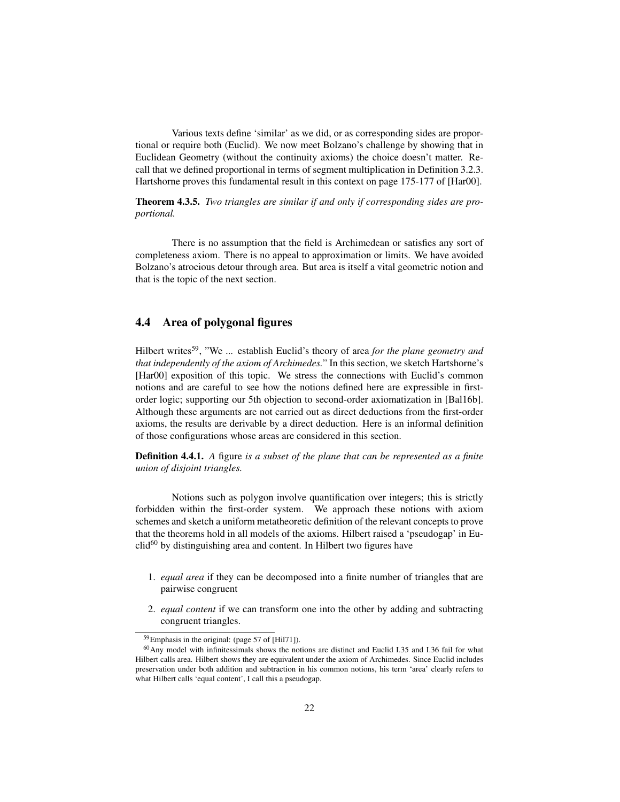Various texts define 'similar' as we did, or as corresponding sides are proportional or require both (Euclid). We now meet Bolzano's challenge by showing that in Euclidean Geometry (without the continuity axioms) the choice doesn't matter. Recall that we defined proportional in terms of segment multiplication in Definition 3.2.3. Hartshorne proves this fundamental result in this context on page 175-177 of [Har00].

Theorem 4.3.5. *Two triangles are similar if and only if corresponding sides are proportional.*

There is no assumption that the field is Archimedean or satisfies any sort of completeness axiom. There is no appeal to approximation or limits. We have avoided Bolzano's atrocious detour through area. But area is itself a vital geometric notion and that is the topic of the next section.

### 4.4 Area of polygonal figures

Hilbert writes<sup>59</sup>, "We ... establish Euclid's theory of area *for the plane geometry and that independently of the axiom of Archimedes.*" In this section, we sketch Hartshorne's [Har00] exposition of this topic. We stress the connections with Euclid's common notions and are careful to see how the notions defined here are expressible in firstorder logic; supporting our 5th objection to second-order axiomatization in [Bal16b]. Although these arguments are not carried out as direct deductions from the first-order axioms, the results are derivable by a direct deduction. Here is an informal definition of those configurations whose areas are considered in this section.

Definition 4.4.1. *A* figure *is a subset of the plane that can be represented as a finite union of disjoint triangles.*

Notions such as polygon involve quantification over integers; this is strictly forbidden within the first-order system. We approach these notions with axiom schemes and sketch a uniform metatheoretic definition of the relevant concepts to prove that the theorems hold in all models of the axioms. Hilbert raised a 'pseudogap' in Eu $c\text{lid}^{60}$  by distinguishing area and content. In Hilbert two figures have

- 1. *equal area* if they can be decomposed into a finite number of triangles that are pairwise congruent
- 2. *equal content* if we can transform one into the other by adding and subtracting congruent triangles.

<sup>59</sup>Emphasis in the original: (page 57 of [Hil71]).

<sup>60</sup>Any model with infinitessimals shows the notions are distinct and Euclid I.35 and I.36 fail for what Hilbert calls area. Hilbert shows they are equivalent under the axiom of Archimedes. Since Euclid includes preservation under both addition and subtraction in his common notions, his term 'area' clearly refers to what Hilbert calls 'equal content', I call this a pseudogap.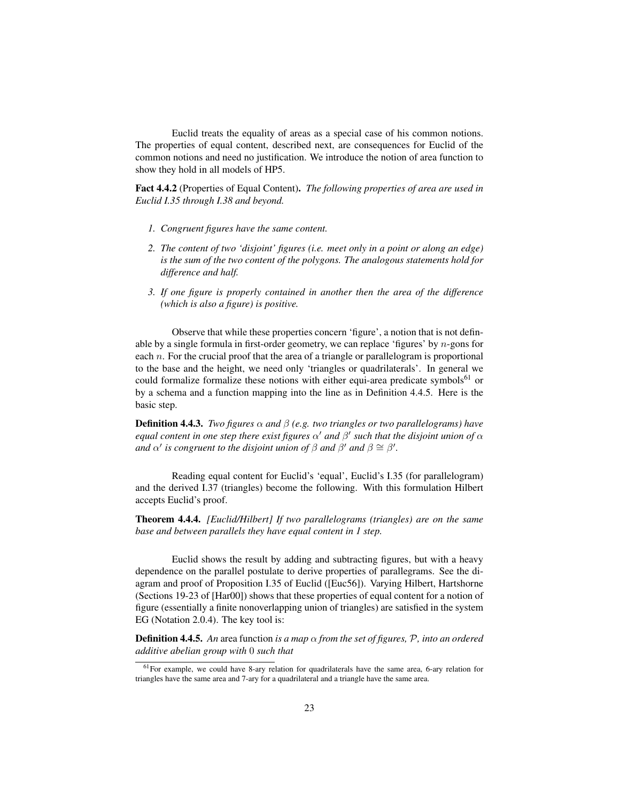Euclid treats the equality of areas as a special case of his common notions. The properties of equal content, described next, are consequences for Euclid of the common notions and need no justification. We introduce the notion of area function to show they hold in all models of HP5.

Fact 4.4.2 (Properties of Equal Content). *The following properties of area are used in Euclid I.35 through I.38 and beyond.*

- *1. Congruent figures have the same content.*
- *2. The content of two 'disjoint' figures (i.e. meet only in a point or along an edge) is the sum of the two content of the polygons. The analogous statements hold for difference and half.*
- *3. If one figure is properly contained in another then the area of the difference (which is also a figure) is positive.*

Observe that while these properties concern 'figure', a notion that is not definable by a single formula in first-order geometry, we can replace 'figures' by  $n$ -gons for each  $n$ . For the crucial proof that the area of a triangle or parallelogram is proportional to the base and the height, we need only 'triangles or quadrilaterals'. In general we could formalize formalize these notions with either equi-area predicate symbols<sup>61</sup> or by a schema and a function mapping into the line as in Definition 4.4.5. Here is the basic step.

**Definition 4.4.3.** *Two figures*  $\alpha$  *and*  $\beta$  (*e.g. two triangles or two parallelograms*) *have equal content in one step there exist figures*  $\alpha'$  *and*  $\beta'$  *such that the disjoint union of*  $\alpha$ *and*  $\alpha'$  *is congruent to the disjoint union of*  $\beta$  *and*  $\beta'$  *and*  $\beta \cong \beta'$ *.* 

Reading equal content for Euclid's 'equal', Euclid's I.35 (for parallelogram) and the derived I.37 (triangles) become the following. With this formulation Hilbert accepts Euclid's proof.

Theorem 4.4.4. *[Euclid/Hilbert] If two parallelograms (triangles) are on the same base and between parallels they have equal content in 1 step.*

Euclid shows the result by adding and subtracting figures, but with a heavy dependence on the parallel postulate to derive properties of parallegrams. See the diagram and proof of Proposition I.35 of Euclid ([Euc56]). Varying Hilbert, Hartshorne (Sections 19-23 of [Har00]) shows that these properties of equal content for a notion of figure (essentially a finite nonoverlapping union of triangles) are satisfied in the system EG (Notation 2.0.4). The key tool is:

**Definition 4.4.5.** An area function *is a map*  $\alpha$  *from the set of figures, P, into an ordered additive abelian group with* 0 *such that*

 $<sup>61</sup>$  For example, we could have 8-ary relation for quadrilaterals have the same area, 6-ary relation for</sup> triangles have the same area and 7-ary for a quadrilateral and a triangle have the same area.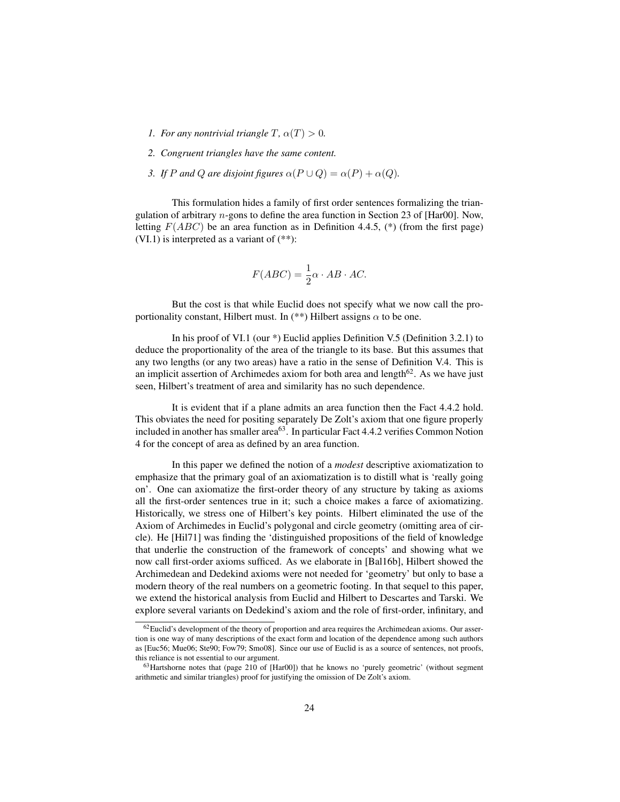- *1. For any nontrivial triangle*  $T$ ,  $\alpha(T) > 0$ *.*
- *2. Congruent triangles have the same content.*
- *3. If* P and Q are disjoint figures  $\alpha(P \cup Q) = \alpha(P) + \alpha(Q)$ .

This formulation hides a family of first order sentences formalizing the triangulation of arbitrary n-gons to define the area function in Section 23 of [Har00]. Now, letting  $F(ABC)$  be an area function as in Definition 4.4.5, (\*) (from the first page) (VI.1) is interpreted as a variant of (\*\*):

$$
F(ABC) = \frac{1}{2}\alpha \cdot AB \cdot AC.
$$

But the cost is that while Euclid does not specify what we now call the proportionality constant, Hilbert must. In (\*\*) Hilbert assigns  $\alpha$  to be one.

In his proof of VI.1 (our \*) Euclid applies Definition V.5 (Definition 3.2.1) to deduce the proportionality of the area of the triangle to its base. But this assumes that any two lengths (or any two areas) have a ratio in the sense of Definition V.4. This is an implicit assertion of Archimedes axiom for both area and length $62$ . As we have just seen, Hilbert's treatment of area and similarity has no such dependence.

It is evident that if a plane admits an area function then the Fact 4.4.2 hold. This obviates the need for positing separately De Zolt's axiom that one figure properly included in another has smaller area<sup>63</sup>. In particular Fact 4.4.2 verifies Common Notion 4 for the concept of area as defined by an area function.

In this paper we defined the notion of a *modest* descriptive axiomatization to emphasize that the primary goal of an axiomatization is to distill what is 'really going on'. One can axiomatize the first-order theory of any structure by taking as axioms all the first-order sentences true in it; such a choice makes a farce of axiomatizing. Historically, we stress one of Hilbert's key points. Hilbert eliminated the use of the Axiom of Archimedes in Euclid's polygonal and circle geometry (omitting area of circle). He [Hil71] was finding the 'distinguished propositions of the field of knowledge that underlie the construction of the framework of concepts' and showing what we now call first-order axioms sufficed. As we elaborate in [Bal16b], Hilbert showed the Archimedean and Dedekind axioms were not needed for 'geometry' but only to base a modern theory of the real numbers on a geometric footing. In that sequel to this paper, we extend the historical analysis from Euclid and Hilbert to Descartes and Tarski. We explore several variants on Dedekind's axiom and the role of first-order, infinitary, and

<sup>&</sup>lt;sup>62</sup>Euclid's development of the theory of proportion and area requires the Archimedean axioms. Our assertion is one way of many descriptions of the exact form and location of the dependence among such authors as [Euc56; Mue06; Ste90; Fow79; Smo08]. Since our use of Euclid is as a source of sentences, not proofs, this reliance is not essential to our argument.

<sup>63</sup>Hartshorne notes that (page 210 of [Har00]) that he knows no 'purely geometric' (without segment arithmetic and similar triangles) proof for justifying the omission of De Zolt's axiom.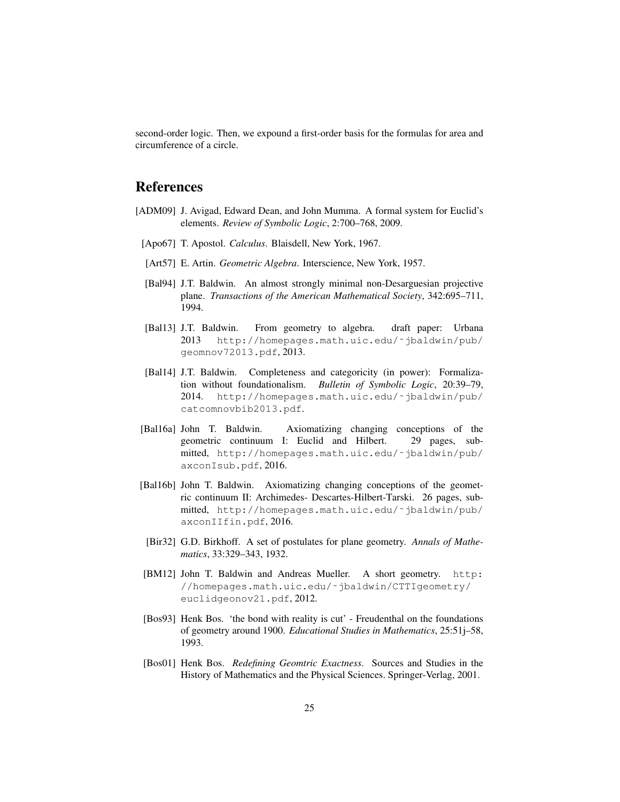second-order logic. Then, we expound a first-order basis for the formulas for area and circumference of a circle.

### References

- [ADM09] J. Avigad, Edward Dean, and John Mumma. A formal system for Euclid's elements. *Review of Symbolic Logic*, 2:700–768, 2009.
- [Apo67] T. Apostol. *Calculus*. Blaisdell, New York, 1967.
- [Art57] E. Artin. *Geometric Algebra*. Interscience, New York, 1957.
- [Bal94] J.T. Baldwin. An almost strongly minimal non-Desarguesian projective plane. *Transactions of the American Mathematical Society*, 342:695–711, 1994.
- [Bal13] J.T. Baldwin. From geometry to algebra. draft paper: Urbana 2013 http://homepages.math.uic.edu/˜jbaldwin/pub/ geomnov72013.pdf, 2013.
- [Bal14] J.T. Baldwin. Completeness and categoricity (in power): Formalization without foundationalism. *Bulletin of Symbolic Logic*, 20:39–79, 2014. http://homepages.math.uic.edu/˜jbaldwin/pub/ catcomnovbib2013.pdf.
- [Bal16a] John T. Baldwin. Axiomatizing changing conceptions of the geometric continuum I: Euclid and Hilbert. 29 pages, submitted, http://homepages.math.uic.edu/˜jbaldwin/pub/ axconIsub.pdf, 2016.
- [Bal16b] John T. Baldwin. Axiomatizing changing conceptions of the geometric continuum II: Archimedes- Descartes-Hilbert-Tarski. 26 pages, submitted, http://homepages.math.uic.edu/˜jbaldwin/pub/ axconIIfin.pdf, 2016.
- [Bir32] G.D. Birkhoff. A set of postulates for plane geometry. *Annals of Mathematics*, 33:329–343, 1932.
- [BM12] John T. Baldwin and Andreas Mueller. A short geometry. http: //homepages.math.uic.edu/˜jbaldwin/CTTIgeometry/ euclidgeonov21.pdf, 2012.
- [Bos93] Henk Bos. 'the bond with reality is cut' Freudenthal on the foundations of geometry around 1900. *Educational Studies in Mathematics*, 25:51j–58, 1993.
- [Bos01] Henk Bos. *Redefining Geomtric Exactness*. Sources and Studies in the History of Mathematics and the Physical Sciences. Springer-Verlag, 2001.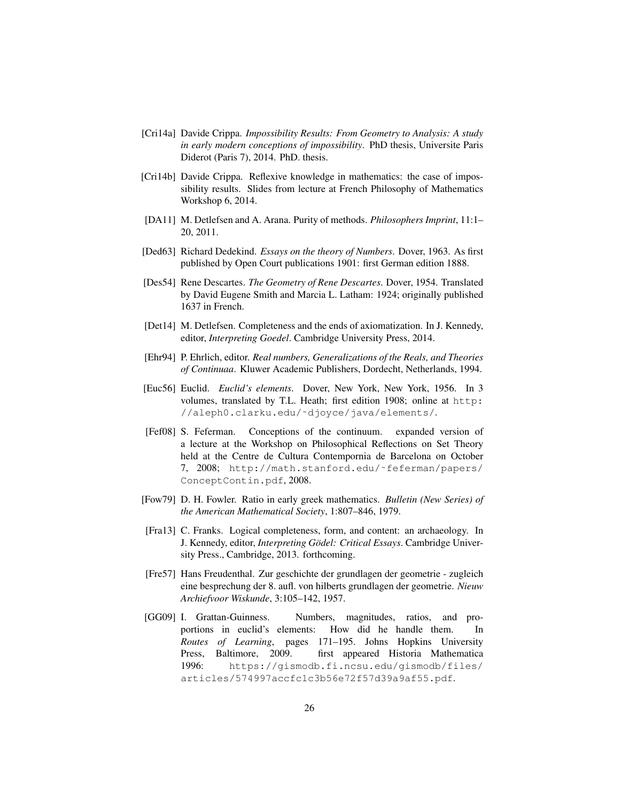- [Cri14a] Davide Crippa. *Impossibility Results: From Geometry to Analysis: A study in early modern conceptions of impossibility*. PhD thesis, Universite Paris Diderot (Paris 7), 2014. PhD. thesis.
- [Cri14b] Davide Crippa. Reflexive knowledge in mathematics: the case of impossibility results. Slides from lecture at French Philosophy of Mathematics Workshop 6, 2014.
- [DA11] M. Detlefsen and A. Arana. Purity of methods. *Philosophers Imprint*, 11:1– 20, 2011.
- [Ded63] Richard Dedekind. *Essays on the theory of Numbers*. Dover, 1963. As first published by Open Court publications 1901: first German edition 1888.
- [Des54] Rene Descartes. *The Geometry of Rene Descartes*. Dover, 1954. Translated by David Eugene Smith and Marcia L. Latham: 1924; originally published 1637 in French.
- [Det14] M. Detlefsen. Completeness and the ends of axiomatization. In J. Kennedy, editor, *Interpreting Goedel*. Cambridge University Press, 2014.
- [Ehr94] P. Ehrlich, editor. *Real numbers, Generalizations of the Reals, and Theories of Continuaa*. Kluwer Academic Publishers, Dordecht, Netherlands, 1994.
- [Euc56] Euclid. *Euclid's elements*. Dover, New York, New York, 1956. In 3 volumes, translated by T.L. Heath; first edition 1908; online at http: //aleph0.clarku.edu/˜djoyce/java/elements/.
- [Fef08] S. Feferman. Conceptions of the continuum. expanded version of a lecture at the Workshop on Philosophical Reflections on Set Theory held at the Centre de Cultura Contempornia de Barcelona on October 7, 2008; http://math.stanford.edu/˜feferman/papers/ ConceptContin.pdf, 2008.
- [Fow79] D. H. Fowler. Ratio in early greek mathematics. *Bulletin (New Series) of the American Mathematical Society*, 1:807–846, 1979.
- [Fra13] C. Franks. Logical completeness, form, and content: an archaeology. In J. Kennedy, editor, *Interpreting Gödel: Critical Essays*. Cambridge University Press., Cambridge, 2013. forthcoming.
- [Fre57] Hans Freudenthal. Zur geschichte der grundlagen der geometrie zugleich eine besprechung der 8. aufl. von hilberts grundlagen der geometrie. *Nieuw Archiefvoor Wiskunde*, 3:105–142, 1957.
- [GG09] I. Grattan-Guinness. Numbers, magnitudes, ratios, and proportions in euclid's elements: How did he handle them. In *Routes of Learning*, pages 171–195. Johns Hopkins University Press, Baltimore, 2009. first appeared Historia Mathematica 1996: https://gismodb.fi.ncsu.edu/gismodb/files/ articles/574997accfc1c3b56e72f57d39a9af55.pdf.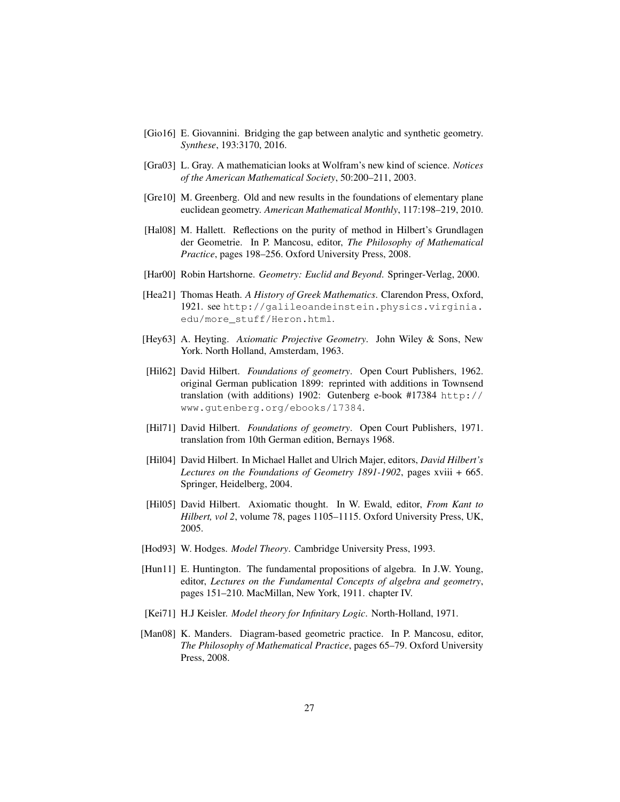- [Gio16] E. Giovannini. Bridging the gap between analytic and synthetic geometry. *Synthese*, 193:3170, 2016.
- [Gra03] L. Gray. A mathematician looks at Wolfram's new kind of science. *Notices of the American Mathematical Society*, 50:200–211, 2003.
- [Gre10] M. Greenberg. Old and new results in the foundations of elementary plane euclidean geometry. *American Mathematical Monthly*, 117:198–219, 2010.
- [Hal08] M. Hallett. Reflections on the purity of method in Hilbert's Grundlagen der Geometrie. In P. Mancosu, editor, *The Philosophy of Mathematical Practice*, pages 198–256. Oxford University Press, 2008.
- [Har00] Robin Hartshorne. *Geometry: Euclid and Beyond*. Springer-Verlag, 2000.
- [Hea21] Thomas Heath. *A History of Greek Mathematics*. Clarendon Press, Oxford, 1921. see http://galileoandeinstein.physics.virginia. edu/more\_stuff/Heron.html.
- [Hey63] A. Heyting. *Axiomatic Projective Geometry*. John Wiley & Sons, New York. North Holland, Amsterdam, 1963.
- [Hil62] David Hilbert. *Foundations of geometry*. Open Court Publishers, 1962. original German publication 1899: reprinted with additions in Townsend translation (with additions) 1902: Gutenberg e-book #17384 http:// www.gutenberg.org/ebooks/17384.
- [Hil71] David Hilbert. *Foundations of geometry*. Open Court Publishers, 1971. translation from 10th German edition, Bernays 1968.
- [Hil04] David Hilbert. In Michael Hallet and Ulrich Majer, editors, *David Hilbert's Lectures on the Foundations of Geometry 1891-1902*, pages xviii + 665. Springer, Heidelberg, 2004.
- [Hil05] David Hilbert. Axiomatic thought. In W. Ewald, editor, *From Kant to Hilbert, vol 2*, volume 78, pages 1105–1115. Oxford University Press, UK, 2005.
- [Hod93] W. Hodges. *Model Theory*. Cambridge University Press, 1993.
- [Hun11] E. Huntington. The fundamental propositions of algebra. In J.W. Young, editor, *Lectures on the Fundamental Concepts of algebra and geometry*, pages 151–210. MacMillan, New York, 1911. chapter IV.
- [Kei71] H.J Keisler. *Model theory for Infinitary Logic*. North-Holland, 1971.
- [Man08] K. Manders. Diagram-based geometric practice. In P. Mancosu, editor, *The Philosophy of Mathematical Practice*, pages 65–79. Oxford University Press, 2008.